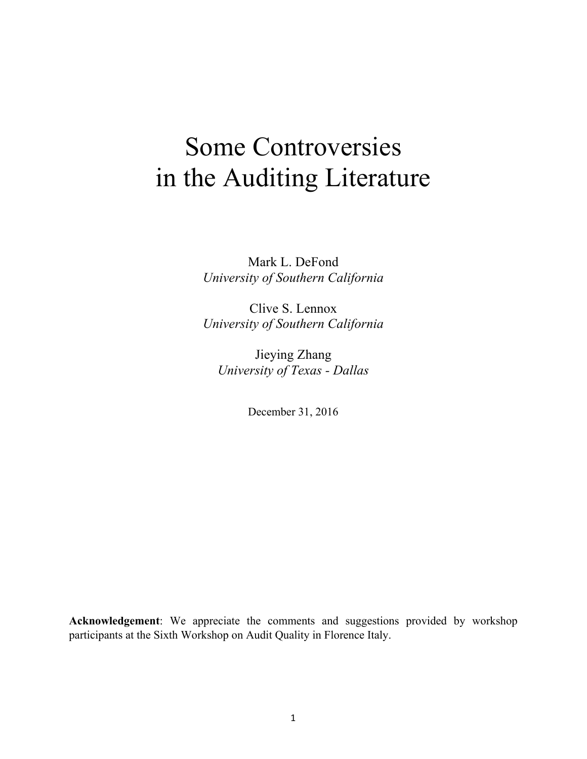# Some Controversies in the Auditing Literature

Mark L. DeFond *University of Southern California*

Clive S. Lennox *University of Southern California*

Jieying Zhang *University of Texas - Dallas*

December 31, 2016

**Acknowledgement**: We appreciate the comments and suggestions provided by workshop participants at the Sixth Workshop on Audit Quality in Florence Italy.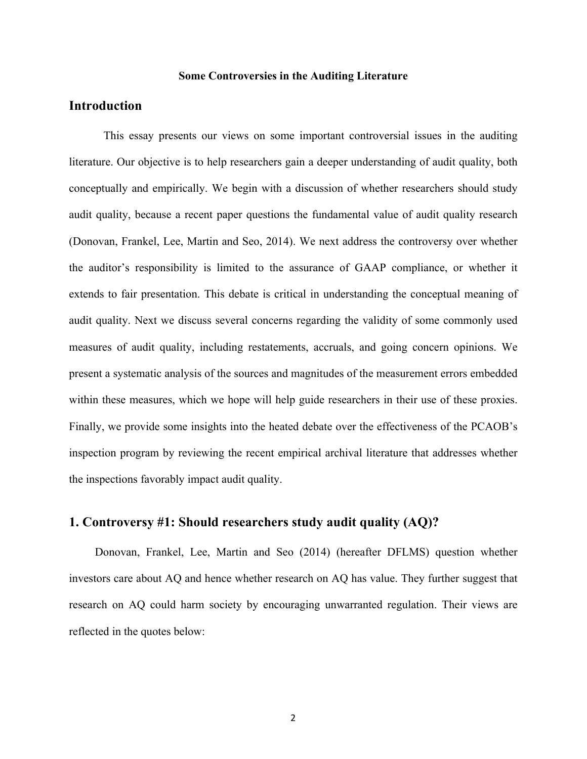## **Some Controversies in the Auditing Literature**

## **Introduction**

This essay presents our views on some important controversial issues in the auditing literature. Our objective is to help researchers gain a deeper understanding of audit quality, both conceptually and empirically. We begin with a discussion of whether researchers should study audit quality, because a recent paper questions the fundamental value of audit quality research (Donovan, Frankel, Lee, Martin and Seo, 2014). We next address the controversy over whether the auditor's responsibility is limited to the assurance of GAAP compliance, or whether it extends to fair presentation. This debate is critical in understanding the conceptual meaning of audit quality. Next we discuss several concerns regarding the validity of some commonly used measures of audit quality, including restatements, accruals, and going concern opinions. We present a systematic analysis of the sources and magnitudes of the measurement errors embedded within these measures, which we hope will help guide researchers in their use of these proxies. Finally, we provide some insights into the heated debate over the effectiveness of the PCAOB's inspection program by reviewing the recent empirical archival literature that addresses whether the inspections favorably impact audit quality.

## **1. Controversy #1: Should researchers study audit quality (AQ)?**

Donovan, Frankel, Lee, Martin and Seo (2014) (hereafter DFLMS) question whether investors care about AQ and hence whether research on AQ has value. They further suggest that research on AQ could harm society by encouraging unwarranted regulation. Their views are reflected in the quotes below: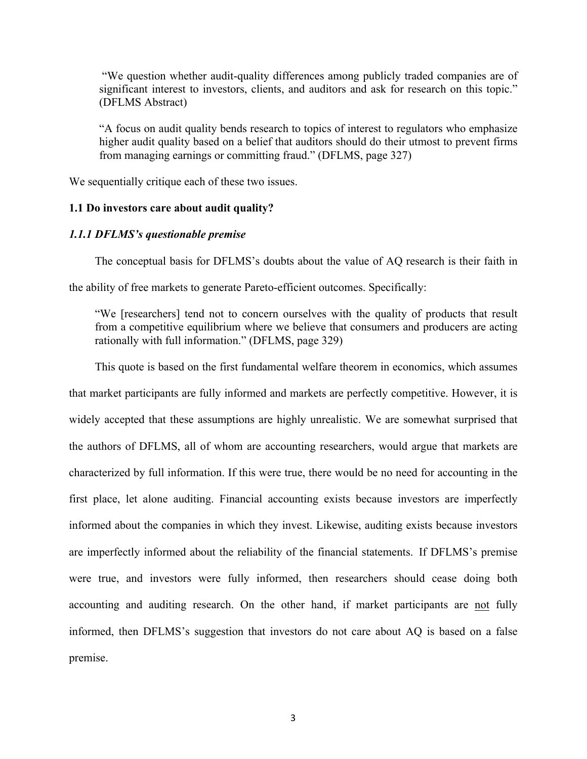"We question whether audit-quality differences among publicly traded companies are of significant interest to investors, clients, and auditors and ask for research on this topic." (DFLMS Abstract)

"A focus on audit quality bends research to topics of interest to regulators who emphasize higher audit quality based on a belief that auditors should do their utmost to prevent firms from managing earnings or committing fraud." (DFLMS, page 327)

We sequentially critique each of these two issues.

## **1.1 Do investors care about audit quality?**

### *1.1.1 DFLMS's questionable premise*

The conceptual basis for DFLMS's doubts about the value of AQ research is their faith in

the ability of free markets to generate Pareto-efficient outcomes. Specifically:

"We [researchers] tend not to concern ourselves with the quality of products that result from a competitive equilibrium where we believe that consumers and producers are acting rationally with full information." (DFLMS, page 329)

This quote is based on the first fundamental welfare theorem in economics, which assumes that market participants are fully informed and markets are perfectly competitive. However, it is widely accepted that these assumptions are highly unrealistic. We are somewhat surprised that the authors of DFLMS, all of whom are accounting researchers, would argue that markets are characterized by full information. If this were true, there would be no need for accounting in the first place, let alone auditing. Financial accounting exists because investors are imperfectly informed about the companies in which they invest. Likewise, auditing exists because investors are imperfectly informed about the reliability of the financial statements. If DFLMS's premise were true, and investors were fully informed, then researchers should cease doing both accounting and auditing research. On the other hand, if market participants are not fully informed, then DFLMS's suggestion that investors do not care about AQ is based on a false premise.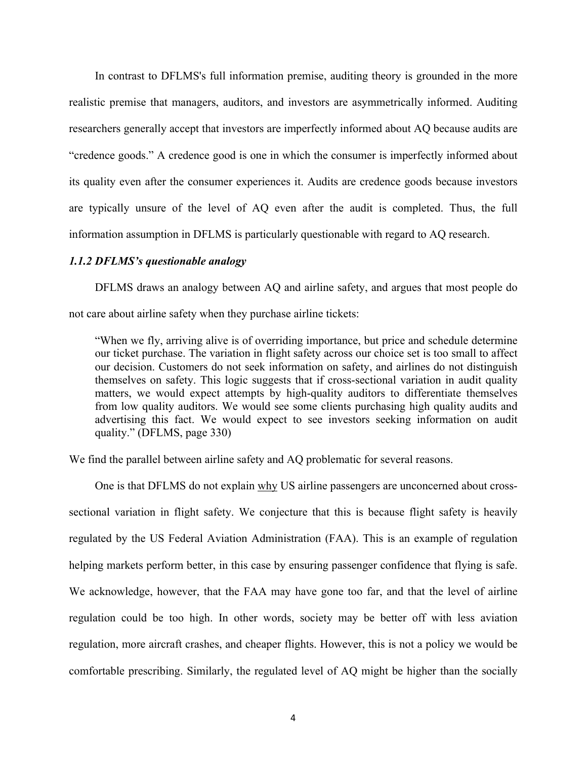In contrast to DFLMS's full information premise, auditing theory is grounded in the more realistic premise that managers, auditors, and investors are asymmetrically informed. Auditing researchers generally accept that investors are imperfectly informed about AQ because audits are "credence goods." A credence good is one in which the consumer is imperfectly informed about its quality even after the consumer experiences it. Audits are credence goods because investors are typically unsure of the level of AQ even after the audit is completed. Thus, the full information assumption in DFLMS is particularly questionable with regard to AQ research.

## *1.1.2 DFLMS's questionable analogy*

DFLMS draws an analogy between AQ and airline safety, and argues that most people do not care about airline safety when they purchase airline tickets:

"When we fly, arriving alive is of overriding importance, but price and schedule determine our ticket purchase. The variation in flight safety across our choice set is too small to affect our decision. Customers do not seek information on safety, and airlines do not distinguish themselves on safety. This logic suggests that if cross-sectional variation in audit quality matters, we would expect attempts by high-quality auditors to differentiate themselves from low quality auditors. We would see some clients purchasing high quality audits and advertising this fact. We would expect to see investors seeking information on audit quality." (DFLMS, page 330)

We find the parallel between airline safety and AQ problematic for several reasons.

One is that DFLMS do not explain why US airline passengers are unconcerned about crosssectional variation in flight safety. We conjecture that this is because flight safety is heavily regulated by the US Federal Aviation Administration (FAA). This is an example of regulation helping markets perform better, in this case by ensuring passenger confidence that flying is safe. We acknowledge, however, that the FAA may have gone too far, and that the level of airline regulation could be too high. In other words, society may be better off with less aviation regulation, more aircraft crashes, and cheaper flights. However, this is not a policy we would be comfortable prescribing. Similarly, the regulated level of AQ might be higher than the socially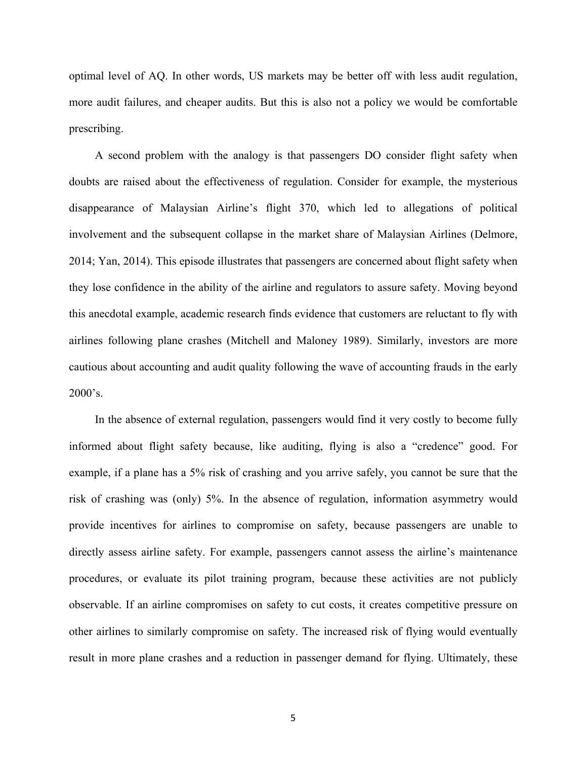optimal level of AQ. In other words, US markets may be better off with less audit regulation, more audit failures, and cheaper audits. But this is also not a policy we would be comfortable prescribing.

A second problem with the analogy is that passengers DO consider flight safety when doubts are raised about the effectiveness of regulation. Consider for example, the mysterious disappearance of Malaysian Airline's flight 370, which led to allegations of political involvement and the subsequent collapse in the market share of Malaysian Airlines (Delmore, 2014; Yan, 2014). This episode illustrates that passengers are concerned about flight safety when they lose confidence in the ability of the airline and regulators to assure safety. Moving beyond this anecdotal example, academic research finds evidence that customers are reluctant to fly with airlines following plane crashes (Mitchell and Maloney 1989). Similarly, investors are more cautious about accounting and audit quality following the wave of accounting frauds in the early 2000's.

In the absence of external regulation, passengers would find it very costly to become fully informed about flight safety because, like auditing, flying is also a "credence" good. For example, if a plane has a 5% risk of crashing and you arrive safely, you cannot be sure that the risk of crashing was (only) 5%. In the absence of regulation, information asymmetry would provide incentives for airlines to compromise on safety, because passengers are unable to directly assess airline safety. For example, passengers cannot assess the airline's maintenance procedures, or evaluate its pilot training program, because these activities are not publicly observable. If an airline compromises on safety to cut costs, it creates competitive pressure on other airlines to similarly compromise on safety. The increased risk of flying would eventually result in more plane crashes and a reduction in passenger demand for flying. Ultimately, these

5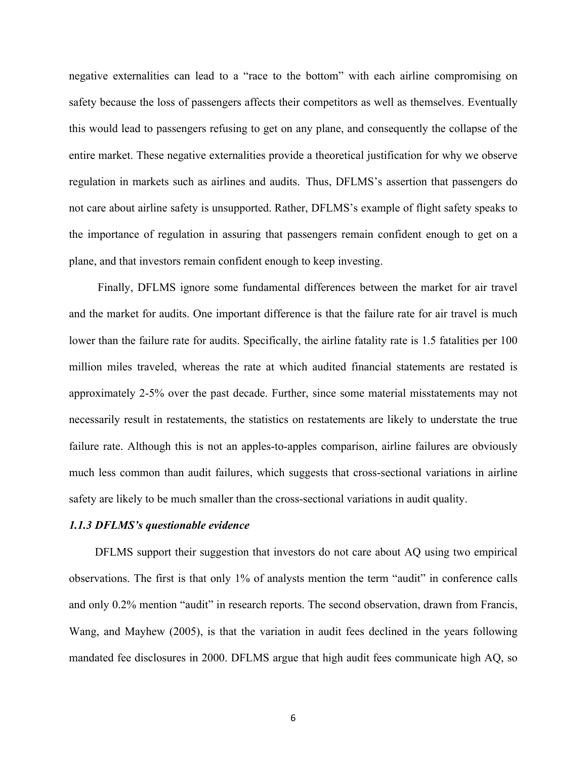negative externalities can lead to a "race to the bottom" with each airline compromising on safety because the loss of passengers affects their competitors as well as themselves. Eventually this would lead to passengers refusing to get on any plane, and consequently the collapse of the entire market. These negative externalities provide a theoretical justification for why we observe regulation in markets such as airlines and audits. Thus, DFLMS's assertion that passengers do not care about airline safety is unsupported. Rather, DFLMS's example of flight safety speaks to the importance of regulation in assuring that passengers remain confident enough to get on a plane, and that investors remain confident enough to keep investing.

Finally, DFLMS ignore some fundamental differences between the market for air travel and the market for audits. One important difference is that the failure rate for air travel is much lower than the failure rate for audits. Specifically, the airline fatality rate is 1.5 fatalities per 100 million miles traveled, whereas the rate at which audited financial statements are restated is approximately 2-5% over the past decade. Further, since some material misstatements may not necessarily result in restatements, the statistics on restatements are likely to understate the true failure rate. Although this is not an apples-to-apples comparison, airline failures are obviously much less common than audit failures, which suggests that cross-sectional variations in airline safety are likely to be much smaller than the cross-sectional variations in audit quality.

### *1.1.3 DFLMS's questionable evidence*

DFLMS support their suggestion that investors do not care about AQ using two empirical observations. The first is that only 1% of analysts mention the term "audit" in conference calls and only 0.2% mention "audit" in research reports. The second observation, drawn from Francis, Wang, and Mayhew (2005), is that the variation in audit fees declined in the years following mandated fee disclosures in 2000. DFLMS argue that high audit fees communicate high AQ, so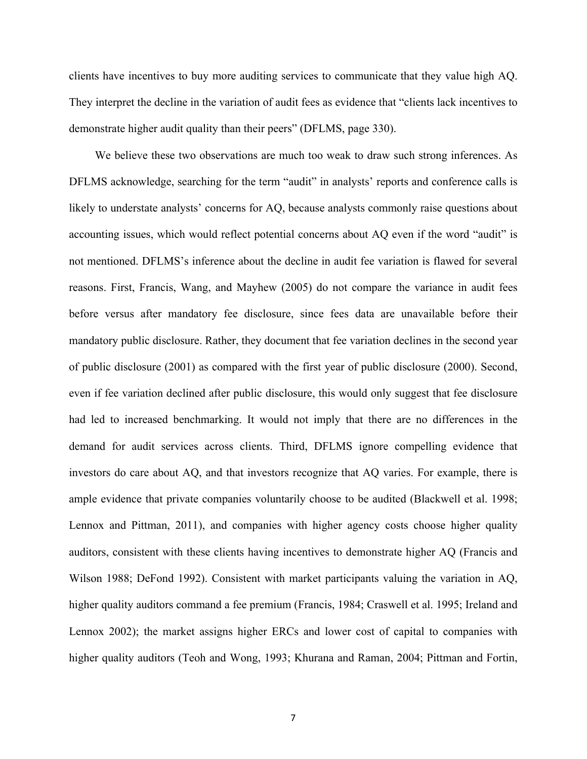clients have incentives to buy more auditing services to communicate that they value high AQ. They interpret the decline in the variation of audit fees as evidence that "clients lack incentives to demonstrate higher audit quality than their peers" (DFLMS, page 330).

We believe these two observations are much too weak to draw such strong inferences. As DFLMS acknowledge, searching for the term "audit" in analysts' reports and conference calls is likely to understate analysts' concerns for AQ, because analysts commonly raise questions about accounting issues, which would reflect potential concerns about AQ even if the word "audit" is not mentioned. DFLMS's inference about the decline in audit fee variation is flawed for several reasons. First, Francis, Wang, and Mayhew (2005) do not compare the variance in audit fees before versus after mandatory fee disclosure, since fees data are unavailable before their mandatory public disclosure. Rather, they document that fee variation declines in the second year of public disclosure (2001) as compared with the first year of public disclosure (2000). Second, even if fee variation declined after public disclosure, this would only suggest that fee disclosure had led to increased benchmarking. It would not imply that there are no differences in the demand for audit services across clients. Third, DFLMS ignore compelling evidence that investors do care about AQ, and that investors recognize that AQ varies. For example, there is ample evidence that private companies voluntarily choose to be audited (Blackwell et al. 1998; Lennox and Pittman, 2011), and companies with higher agency costs choose higher quality auditors, consistent with these clients having incentives to demonstrate higher AQ (Francis and Wilson 1988; DeFond 1992). Consistent with market participants valuing the variation in AQ, higher quality auditors command a fee premium (Francis, 1984; Craswell et al. 1995; Ireland and Lennox 2002); the market assigns higher ERCs and lower cost of capital to companies with higher quality auditors (Teoh and Wong, 1993; Khurana and Raman, 2004; Pittman and Fortin,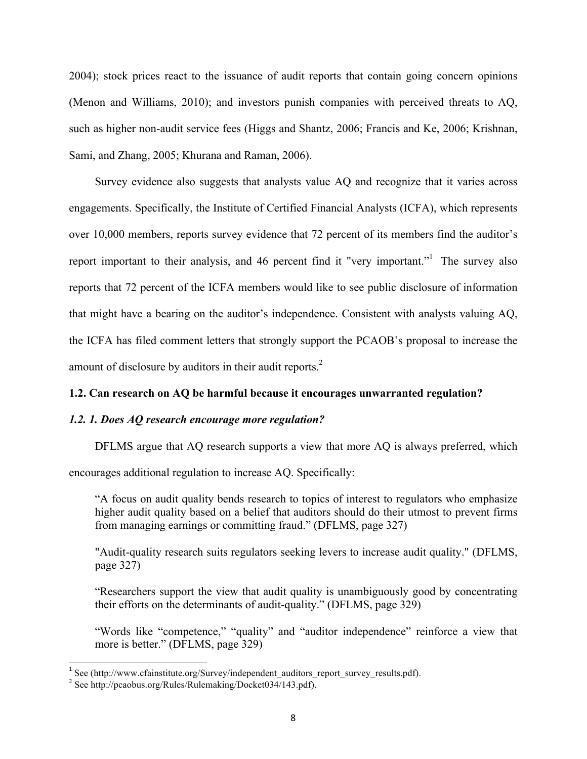2004); stock prices react to the issuance of audit reports that contain going concern opinions (Menon and Williams, 2010); and investors punish companies with perceived threats to AQ, such as higher non-audit service fees (Higgs and Shantz, 2006; Francis and Ke, 2006; Krishnan, Sami, and Zhang, 2005; Khurana and Raman, 2006).

Survey evidence also suggests that analysts value AQ and recognize that it varies across engagements. Specifically, the Institute of Certified Financial Analysts (ICFA), which represents over 10,000 members, reports survey evidence that 72 percent of its members find the auditor's report important to their analysis, and 46 percent find it "very important." The survey also reports that 72 percent of the ICFA members would like to see public disclosure of information that might have a bearing on the auditor's independence. Consistent with analysts valuing AQ, the ICFA has filed comment letters that strongly support the PCAOB's proposal to increase the amount of disclosure by auditors in their audit reports.<sup>2</sup>

## **1.2. Can research on AQ be harmful because it encourages unwarranted regulation?**

## *1.2. 1. Does AQ research encourage more regulation?*

DFLMS argue that AQ research supports a view that more AQ is always preferred, which

encourages additional regulation to increase AQ. Specifically:

"A focus on audit quality bends research to topics of interest to regulators who emphasize higher audit quality based on a belief that auditors should do their utmost to prevent firms from managing earnings or committing fraud." (DFLMS, page 327)

"Audit-quality research suits regulators seeking levers to increase audit quality." (DFLMS, page 327)

"Researchers support the view that audit quality is unambiguously good by concentrating their efforts on the determinants of audit-quality." (DFLMS, page 329)

"Words like "competence," "quality" and "auditor independence" reinforce a view that more is better." (DFLMS, page 329)

<u> 1989 - Jan Stein Stein, fransk politiker (d. 1989)</u>

<sup>&</sup>lt;sup>1</sup> See (http://www.cfainstitute.org/Survey/independent auditors report survey results.pdf).

<sup>2</sup> See http://pcaobus.org/Rules/Rulemaking/Docket034/143.pdf).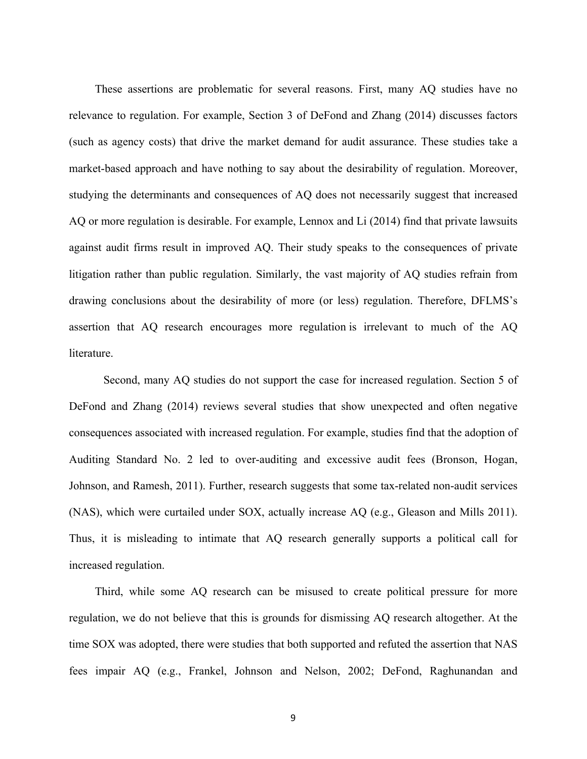These assertions are problematic for several reasons. First, many AQ studies have no relevance to regulation. For example, Section 3 of DeFond and Zhang (2014) discusses factors (such as agency costs) that drive the market demand for audit assurance. These studies take a market-based approach and have nothing to say about the desirability of regulation. Moreover, studying the determinants and consequences of AQ does not necessarily suggest that increased AQ or more regulation is desirable. For example, Lennox and Li (2014) find that private lawsuits against audit firms result in improved AQ. Their study speaks to the consequences of private litigation rather than public regulation. Similarly, the vast majority of AQ studies refrain from drawing conclusions about the desirability of more (or less) regulation. Therefore, DFLMS's assertion that AQ research encourages more regulation is irrelevant to much of the AQ literature.

Second, many AQ studies do not support the case for increased regulation. Section 5 of DeFond and Zhang (2014) reviews several studies that show unexpected and often negative consequences associated with increased regulation. For example, studies find that the adoption of Auditing Standard No. 2 led to over-auditing and excessive audit fees (Bronson, Hogan, Johnson, and Ramesh, 2011). Further, research suggests that some tax-related non-audit services (NAS), which were curtailed under SOX, actually increase AQ (e.g., Gleason and Mills 2011). Thus, it is misleading to intimate that AQ research generally supports a political call for increased regulation.

Third, while some AQ research can be misused to create political pressure for more regulation, we do not believe that this is grounds for dismissing AQ research altogether. At the time SOX was adopted, there were studies that both supported and refuted the assertion that NAS fees impair AQ (e.g., Frankel, Johnson and Nelson, 2002; DeFond, Raghunandan and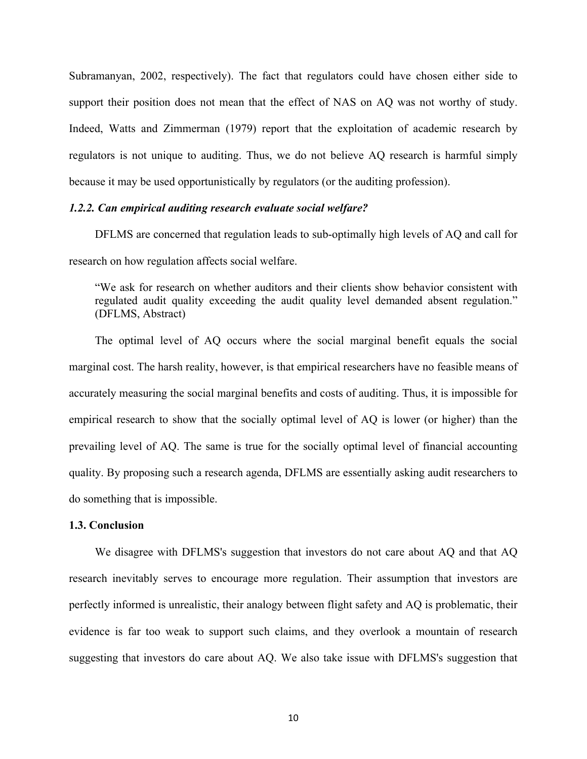Subramanyan, 2002, respectively). The fact that regulators could have chosen either side to support their position does not mean that the effect of NAS on AQ was not worthy of study. Indeed, Watts and Zimmerman (1979) report that the exploitation of academic research by regulators is not unique to auditing. Thus, we do not believe AQ research is harmful simply because it may be used opportunistically by regulators (or the auditing profession).

#### *1.2.2. Can empirical auditing research evaluate social welfare?*

DFLMS are concerned that regulation leads to sub-optimally high levels of AQ and call for research on how regulation affects social welfare.

"We ask for research on whether auditors and their clients show behavior consistent with regulated audit quality exceeding the audit quality level demanded absent regulation." (DFLMS, Abstract)

The optimal level of AQ occurs where the social marginal benefit equals the social marginal cost. The harsh reality, however, is that empirical researchers have no feasible means of accurately measuring the social marginal benefits and costs of auditing. Thus, it is impossible for empirical research to show that the socially optimal level of AQ is lower (or higher) than the prevailing level of AQ. The same is true for the socially optimal level of financial accounting quality. By proposing such a research agenda, DFLMS are essentially asking audit researchers to do something that is impossible.

### **1.3. Conclusion**

We disagree with DFLMS's suggestion that investors do not care about AQ and that AQ research inevitably serves to encourage more regulation. Their assumption that investors are perfectly informed is unrealistic, their analogy between flight safety and AQ is problematic, their evidence is far too weak to support such claims, and they overlook a mountain of research suggesting that investors do care about AQ. We also take issue with DFLMS's suggestion that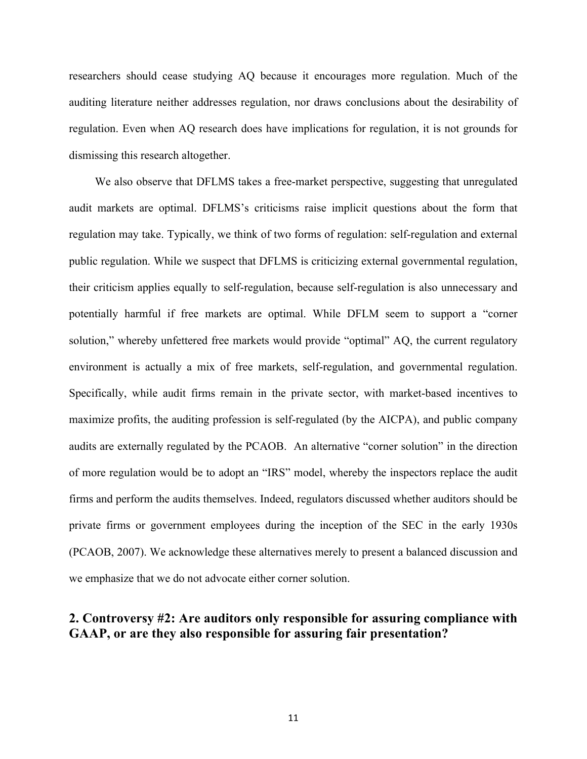researchers should cease studying AQ because it encourages more regulation. Much of the auditing literature neither addresses regulation, nor draws conclusions about the desirability of regulation. Even when AQ research does have implications for regulation, it is not grounds for dismissing this research altogether.

We also observe that DFLMS takes a free-market perspective, suggesting that unregulated audit markets are optimal. DFLMS's criticisms raise implicit questions about the form that regulation may take. Typically, we think of two forms of regulation: self-regulation and external public regulation. While we suspect that DFLMS is criticizing external governmental regulation, their criticism applies equally to self-regulation, because self-regulation is also unnecessary and potentially harmful if free markets are optimal. While DFLM seem to support a "corner solution," whereby unfettered free markets would provide "optimal" AQ, the current regulatory environment is actually a mix of free markets, self-regulation, and governmental regulation. Specifically, while audit firms remain in the private sector, with market-based incentives to maximize profits, the auditing profession is self-regulated (by the AICPA), and public company audits are externally regulated by the PCAOB. An alternative "corner solution" in the direction of more regulation would be to adopt an "IRS" model, whereby the inspectors replace the audit firms and perform the audits themselves. Indeed, regulators discussed whether auditors should be private firms or government employees during the inception of the SEC in the early 1930s (PCAOB, 2007). We acknowledge these alternatives merely to present a balanced discussion and we emphasize that we do not advocate either corner solution.

# **2. Controversy #2: Are auditors only responsible for assuring compliance with GAAP, or are they also responsible for assuring fair presentation?**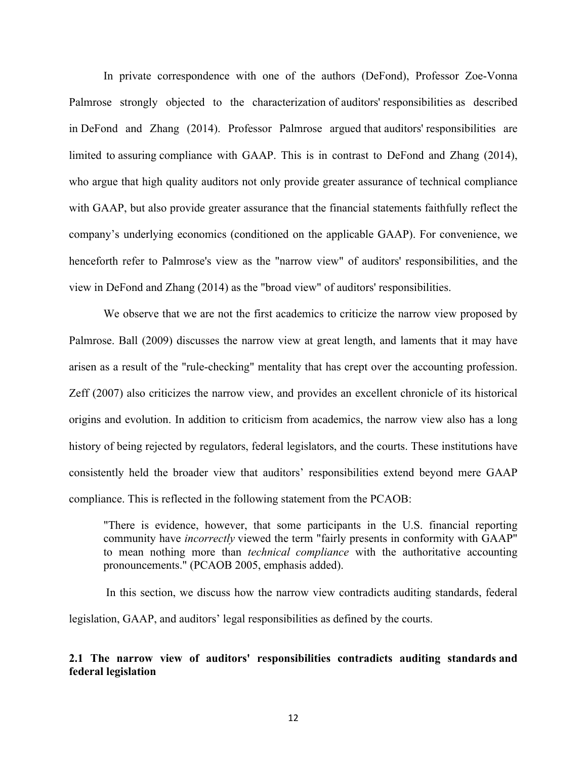In private correspondence with one of the authors (DeFond), Professor Zoe-Vonna Palmrose strongly objected to the characterization of auditors' responsibilities as described in DeFond and Zhang (2014). Professor Palmrose argued that auditors' responsibilities are limited to assuring compliance with GAAP. This is in contrast to DeFond and Zhang (2014), who argue that high quality auditors not only provide greater assurance of technical compliance with GAAP, but also provide greater assurance that the financial statements faithfully reflect the company's underlying economics (conditioned on the applicable GAAP). For convenience, we henceforth refer to Palmrose's view as the "narrow view" of auditors' responsibilities, and the view in DeFond and Zhang (2014) as the "broad view" of auditors' responsibilities.

We observe that we are not the first academics to criticize the narrow view proposed by Palmrose. Ball (2009) discusses the narrow view at great length, and laments that it may have arisen as a result of the "rule-checking" mentality that has crept over the accounting profession. Zeff (2007) also criticizes the narrow view, and provides an excellent chronicle of its historical origins and evolution. In addition to criticism from academics, the narrow view also has a long history of being rejected by regulators, federal legislators, and the courts. These institutions have consistently held the broader view that auditors' responsibilities extend beyond mere GAAP compliance. This is reflected in the following statement from the PCAOB:

"There is evidence, however, that some participants in the U.S. financial reporting community have *incorrectly* viewed the term "fairly presents in conformity with GAAP" to mean nothing more than *technical compliance* with the authoritative accounting pronouncements." (PCAOB 2005, emphasis added).

In this section, we discuss how the narrow view contradicts auditing standards, federal legislation, GAAP, and auditors' legal responsibilities as defined by the courts.

## **2.1 The narrow view of auditors' responsibilities contradicts auditing standards and federal legislation**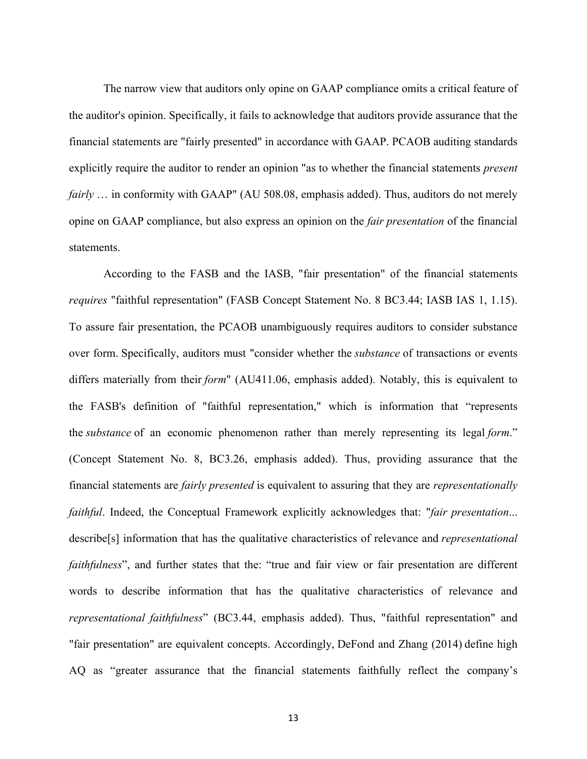The narrow view that auditors only opine on GAAP compliance omits a critical feature of the auditor's opinion. Specifically, it fails to acknowledge that auditors provide assurance that the financial statements are "fairly presented" in accordance with GAAP. PCAOB auditing standards explicitly require the auditor to render an opinion "as to whether the financial statements *present fairly* … in conformity with GAAP" (AU 508.08, emphasis added). Thus, auditors do not merely opine on GAAP compliance, but also express an opinion on the *fair presentation* of the financial statements.

According to the FASB and the IASB, "fair presentation" of the financial statements *requires* "faithful representation" (FASB Concept Statement No. 8 BC3.44; IASB IAS 1, 1.15). To assure fair presentation, the PCAOB unambiguously requires auditors to consider substance over form. Specifically, auditors must "consider whether the *substance* of transactions or events differs materially from their *form*" (AU411.06, emphasis added). Notably, this is equivalent to the FASB's definition of "faithful representation," which is information that "represents the *substance* of an economic phenomenon rather than merely representing its legal *form*." (Concept Statement No. 8, BC3.26, emphasis added). Thus, providing assurance that the financial statements are *fairly presented* is equivalent to assuring that they are *representationally faithful*. Indeed, the Conceptual Framework explicitly acknowledges that: "*fair presentation*... describe[s] information that has the qualitative characteristics of relevance and *representational faithfulness*", and further states that the: "true and fair view or fair presentation are different words to describe information that has the qualitative characteristics of relevance and *representational faithfulness*" (BC3.44, emphasis added). Thus, "faithful representation" and "fair presentation" are equivalent concepts. Accordingly, DeFond and Zhang (2014) define high AQ as "greater assurance that the financial statements faithfully reflect the company's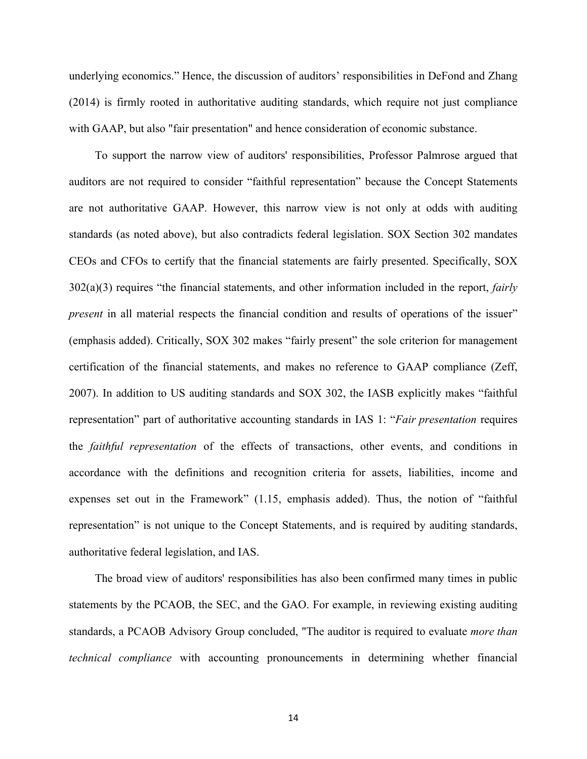underlying economics." Hence, the discussion of auditors' responsibilities in DeFond and Zhang (2014) is firmly rooted in authoritative auditing standards, which require not just compliance with GAAP, but also "fair presentation" and hence consideration of economic substance.

To support the narrow view of auditors' responsibilities, Professor Palmrose argued that auditors are not required to consider "faithful representation" because the Concept Statements are not authoritative GAAP. However, this narrow view is not only at odds with auditing standards (as noted above), but also contradicts federal legislation. SOX Section 302 mandates CEOs and CFOs to certify that the financial statements are fairly presented. Specifically, SOX 302(a)(3) requires "the financial statements, and other information included in the report, *fairly present* in all material respects the financial condition and results of operations of the issuer" (emphasis added). Critically, SOX 302 makes "fairly present" the sole criterion for management certification of the financial statements, and makes no reference to GAAP compliance (Zeff, 2007). In addition to US auditing standards and SOX 302, the IASB explicitly makes "faithful representation" part of authoritative accounting standards in IAS 1: "*Fair presentation* requires the *faithful representation* of the effects of transactions, other events, and conditions in accordance with the definitions and recognition criteria for assets, liabilities, income and expenses set out in the Framework" (1.15, emphasis added). Thus, the notion of "faithful representation" is not unique to the Concept Statements, and is required by auditing standards, authoritative federal legislation, and IAS.

The broad view of auditors' responsibilities has also been confirmed many times in public statements by the PCAOB, the SEC, and the GAO. For example, in reviewing existing auditing standards, a PCAOB Advisory Group concluded, "The auditor is required to evaluate *more than technical compliance* with accounting pronouncements in determining whether financial

14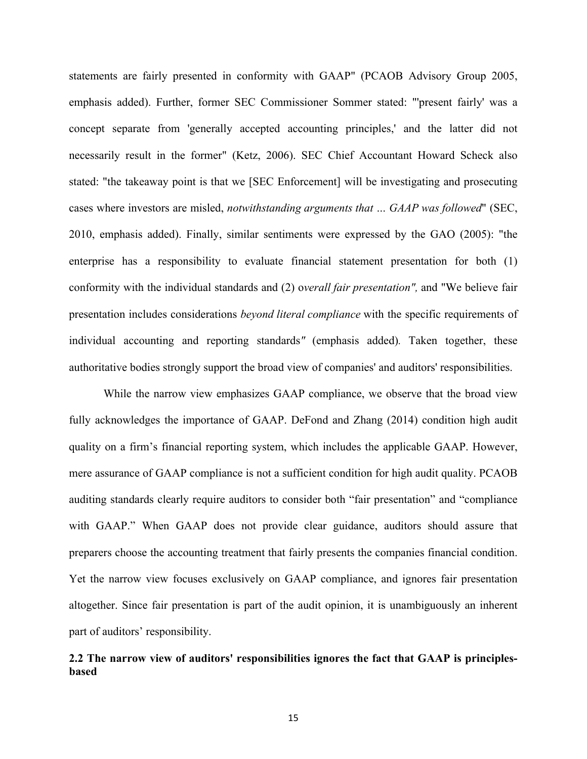statements are fairly presented in conformity with GAAP" (PCAOB Advisory Group 2005, emphasis added). Further, former SEC Commissioner Sommer stated: "'present fairly' was a concept separate from 'generally accepted accounting principles,' and the latter did not necessarily result in the former" (Ketz, 2006). SEC Chief Accountant Howard Scheck also stated: "the takeaway point is that we [SEC Enforcement] will be investigating and prosecuting cases where investors are misled, *notwithstanding arguments that … GAAP was followed*" (SEC, 2010, emphasis added). Finally, similar sentiments were expressed by the GAO (2005): "the enterprise has a responsibility to evaluate financial statement presentation for both (1) conformity with the individual standards and (2) o*verall fair presentation",* and "We believe fair presentation includes considerations *beyond literal compliance* with the specific requirements of individual accounting and reporting standards*"* (emphasis added)*.* Taken together, these authoritative bodies strongly support the broad view of companies' and auditors' responsibilities.

While the narrow view emphasizes GAAP compliance, we observe that the broad view fully acknowledges the importance of GAAP. DeFond and Zhang (2014) condition high audit quality on a firm's financial reporting system, which includes the applicable GAAP. However, mere assurance of GAAP compliance is not a sufficient condition for high audit quality. PCAOB auditing standards clearly require auditors to consider both "fair presentation" and "compliance with GAAP." When GAAP does not provide clear guidance, auditors should assure that preparers choose the accounting treatment that fairly presents the companies financial condition. Yet the narrow view focuses exclusively on GAAP compliance, and ignores fair presentation altogether. Since fair presentation is part of the audit opinion, it is unambiguously an inherent part of auditors' responsibility.

## **2.2 The narrow view of auditors' responsibilities ignores the fact that GAAP is principlesbased**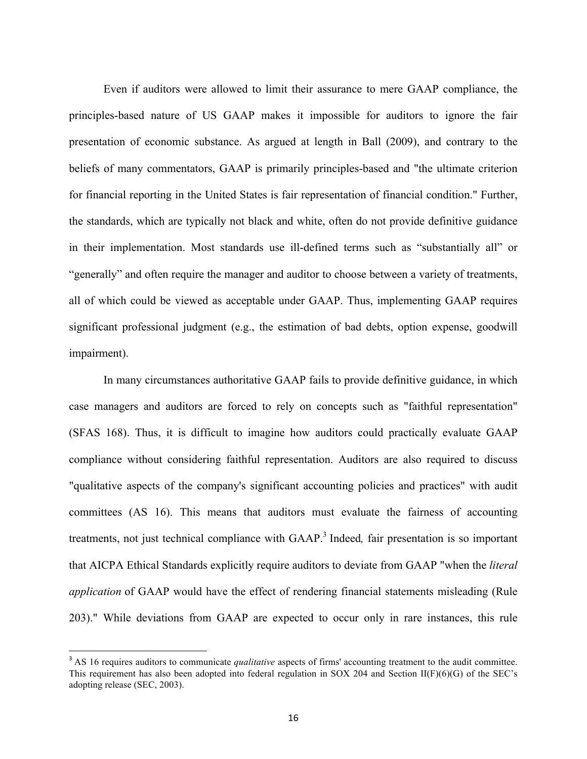Even if auditors were allowed to limit their assurance to mere GAAP compliance, the principles-based nature of US GAAP makes it impossible for auditors to ignore the fair presentation of economic substance. As argued at length in Ball (2009), and contrary to the beliefs of many commentators, GAAP is primarily principles-based and "the ultimate criterion for financial reporting in the United States is fair representation of financial condition." Further, the standards, which are typically not black and white, often do not provide definitive guidance in their implementation. Most standards use ill-defined terms such as "substantially all" or "generally" and often require the manager and auditor to choose between a variety of treatments, all of which could be viewed as acceptable under GAAP. Thus, implementing GAAP requires significant professional judgment (e.g., the estimation of bad debts, option expense, goodwill impairment).

In many circumstances authoritative GAAP fails to provide definitive guidance, in which case managers and auditors are forced to rely on concepts such as "faithful representation" (SFAS 168). Thus, it is difficult to imagine how auditors could practically evaluate GAAP compliance without considering faithful representation. Auditors are also required to discuss "qualitative aspects of the company's significant accounting policies and practices" with audit committees (AS 16). This means that auditors must evaluate the fairness of accounting treatments, not just technical compliance with GAAP. <sup>3</sup> Indeed*,* fair presentation is so important that AICPA Ethical Standards explicitly require auditors to deviate from GAAP "when the *literal application* of GAAP would have the effect of rendering financial statements misleading (Rule 203)." While deviations from GAAP are expected to occur only in rare instances, this rule

 

<sup>&</sup>lt;sup>3</sup> AS 16 requires auditors to communicate *qualitative* aspects of firms' accounting treatment to the audit committee. This requirement has also been adopted into federal regulation in SOX 204 and Section II(F)(6)(G) of the SEC's adopting release (SEC, 2003).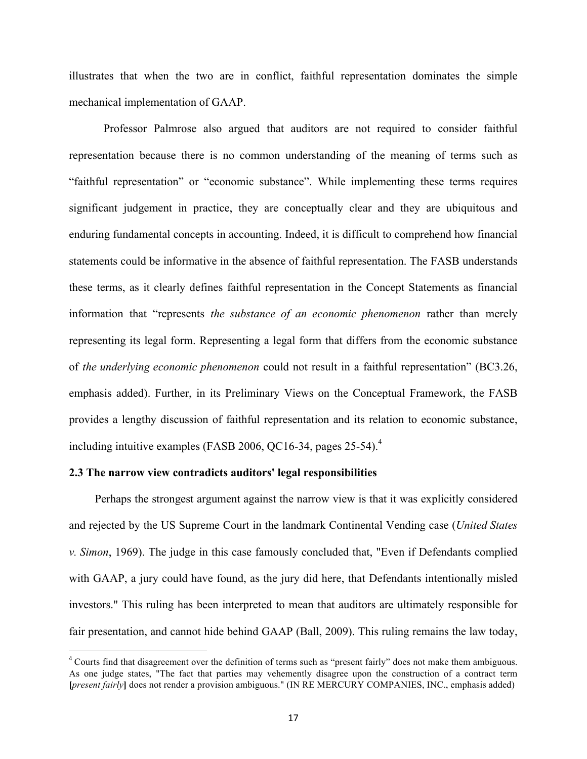illustrates that when the two are in conflict, faithful representation dominates the simple mechanical implementation of GAAP.

Professor Palmrose also argued that auditors are not required to consider faithful representation because there is no common understanding of the meaning of terms such as "faithful representation" or "economic substance". While implementing these terms requires significant judgement in practice, they are conceptually clear and they are ubiquitous and enduring fundamental concepts in accounting. Indeed, it is difficult to comprehend how financial statements could be informative in the absence of faithful representation. The FASB understands these terms, as it clearly defines faithful representation in the Concept Statements as financial information that "represents *the substance of an economic phenomenon* rather than merely representing its legal form. Representing a legal form that differs from the economic substance of *the underlying economic phenomenon* could not result in a faithful representation" (BC3.26, emphasis added). Further, in its Preliminary Views on the Conceptual Framework, the FASB provides a lengthy discussion of faithful representation and its relation to economic substance, including intuitive examples (FASB 2006, QC16-34, pages 25-54). 4

## **2.3 The narrow view contradicts auditors' legal responsibilities**

 

Perhaps the strongest argument against the narrow view is that it was explicitly considered and rejected by the US Supreme Court in the landmark Continental Vending case (*United States v. Simon*, 1969). The judge in this case famously concluded that, "Even if Defendants complied with GAAP, a jury could have found, as the jury did here, that Defendants intentionally misled investors." This ruling has been interpreted to mean that auditors are ultimately responsible for fair presentation, and cannot hide behind GAAP (Ball, 2009). This ruling remains the law today,

<sup>&</sup>lt;sup>4</sup> Courts find that disagreement over the definition of terms such as "present fairly" does not make them ambiguous. As one judge states, "The fact that parties may vehemently disagree upon the construction of a contract term **[***present fairly***]** does not render a provision ambiguous." (IN RE MERCURY COMPANIES, INC., emphasis added)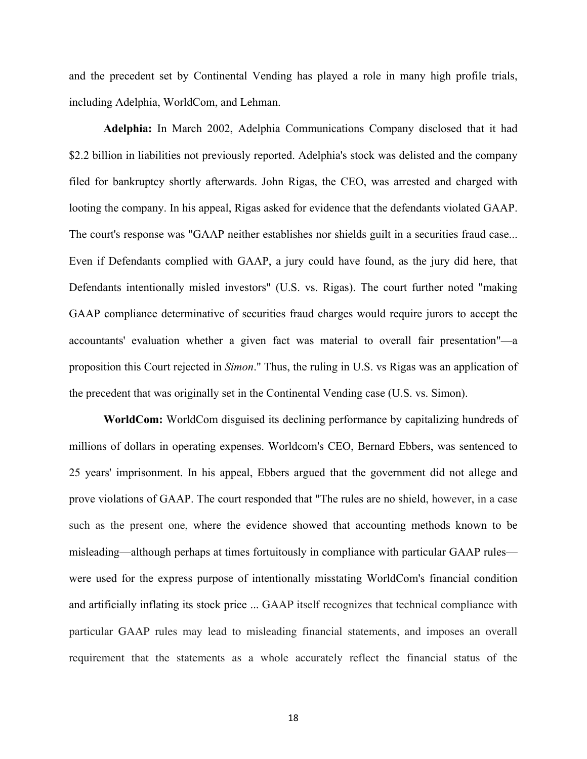and the precedent set by Continental Vending has played a role in many high profile trials, including Adelphia, WorldCom, and Lehman.

**Adelphia:** In March 2002, Adelphia Communications Company disclosed that it had \$2.2 billion in liabilities not previously reported. Adelphia's stock was delisted and the company filed for bankruptcy shortly afterwards. John Rigas, the CEO, was arrested and charged with looting the company. In his appeal, Rigas asked for evidence that the defendants violated GAAP. The court's response was "GAAP neither establishes nor shields guilt in a securities fraud case... Even if Defendants complied with GAAP, a jury could have found, as the jury did here, that Defendants intentionally misled investors" (U.S. vs. Rigas). The court further noted "making GAAP compliance determinative of securities fraud charges would require jurors to accept the accountants' evaluation whether a given fact was material to overall fair presentation"—a proposition this Court rejected in *Simon*." Thus, the ruling in U.S. vs Rigas was an application of the precedent that was originally set in the Continental Vending case (U.S. vs. Simon).

**WorldCom:** WorldCom disguised its declining performance by capitalizing hundreds of millions of dollars in operating expenses. Worldcom's CEO, Bernard Ebbers, was sentenced to 25 years' imprisonment. In his appeal, Ebbers argued that the government did not allege and prove violations of GAAP. The court responded that "The rules are no shield, however, in a case such as the present one, where the evidence showed that accounting methods known to be misleading—although perhaps at times fortuitously in compliance with particular GAAP rules were used for the express purpose of intentionally misstating WorldCom's financial condition and artificially inflating its stock price ... GAAP itself recognizes that technical compliance with particular GAAP rules may lead to misleading financial statements, and imposes an overall requirement that the statements as a whole accurately reflect the financial status of the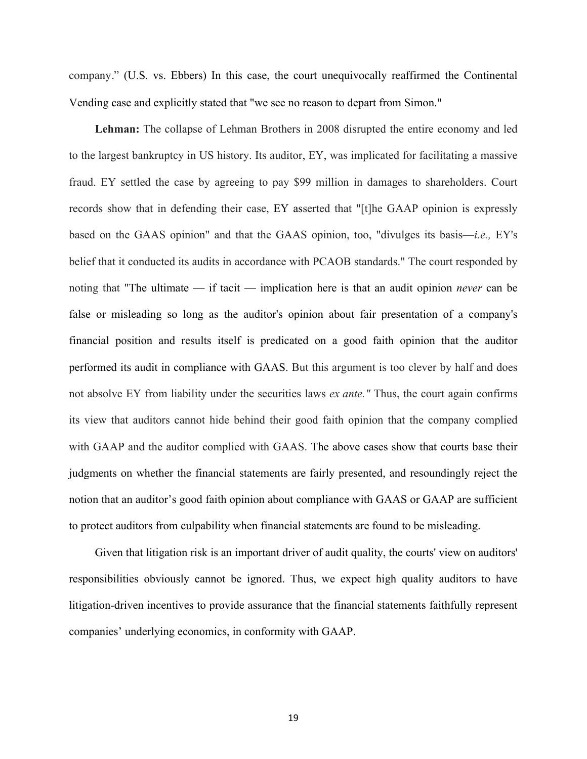company." (U.S. vs. Ebbers) In this case, the court unequivocally reaffirmed the Continental Vending case and explicitly stated that "we see no reason to depart from Simon."

**Lehman:** The collapse of Lehman Brothers in 2008 disrupted the entire economy and led to the largest bankruptcy in US history. Its auditor, EY, was implicated for facilitating a massive fraud. EY settled the case by agreeing to pay \$99 million in damages to shareholders. Court records show that in defending their case, EY asserted that "[t]he GAAP opinion is expressly based on the GAAS opinion" and that the GAAS opinion, too, "divulges its basis—*i.e.,* EY's belief that it conducted its audits in accordance with PCAOB standards." The court responded by noting that "The ultimate — if tacit — implication here is that an audit opinion *never* can be false or misleading so long as the auditor's opinion about fair presentation of a company's financial position and results itself is predicated on a good faith opinion that the auditor performed its audit in compliance with GAAS. But this argument is too clever by half and does not absolve EY from liability under the securities laws *ex ante."* Thus, the court again confirms its view that auditors cannot hide behind their good faith opinion that the company complied with GAAP and the auditor complied with GAAS. The above cases show that courts base their judgments on whether the financial statements are fairly presented, and resoundingly reject the notion that an auditor's good faith opinion about compliance with GAAS or GAAP are sufficient to protect auditors from culpability when financial statements are found to be misleading.

Given that litigation risk is an important driver of audit quality, the courts' view on auditors' responsibilities obviously cannot be ignored. Thus, we expect high quality auditors to have litigation-driven incentives to provide assurance that the financial statements faithfully represent companies' underlying economics, in conformity with GAAP.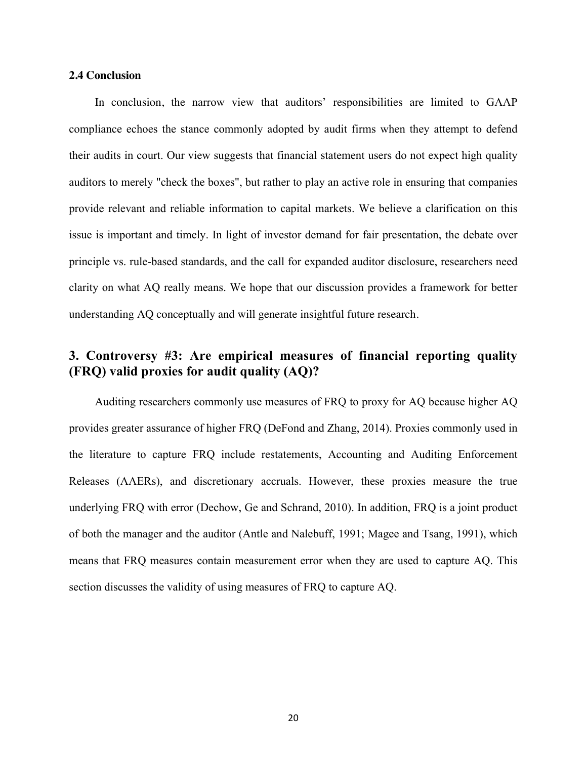## **2.4 Conclusion**

In conclusion, the narrow view that auditors' responsibilities are limited to GAAP compliance echoes the stance commonly adopted by audit firms when they attempt to defend their audits in court. Our view suggests that financial statement users do not expect high quality auditors to merely "check the boxes", but rather to play an active role in ensuring that companies provide relevant and reliable information to capital markets. We believe a clarification on this issue is important and timely. In light of investor demand for fair presentation, the debate over principle vs. rule-based standards, and the call for expanded auditor disclosure, researchers need clarity on what AQ really means. We hope that our discussion provides a framework for better understanding AQ conceptually and will generate insightful future research.

# **3. Controversy #3: Are empirical measures of financial reporting quality (FRQ) valid proxies for audit quality (AQ)?**

Auditing researchers commonly use measures of FRQ to proxy for AQ because higher AQ provides greater assurance of higher FRQ (DeFond and Zhang, 2014). Proxies commonly used in the literature to capture FRQ include restatements, Accounting and Auditing Enforcement Releases (AAERs), and discretionary accruals. However, these proxies measure the true underlying FRQ with error (Dechow, Ge and Schrand, 2010). In addition, FRQ is a joint product of both the manager and the auditor (Antle and Nalebuff, 1991; Magee and Tsang, 1991), which means that FRQ measures contain measurement error when they are used to capture AQ. This section discusses the validity of using measures of FRQ to capture AQ.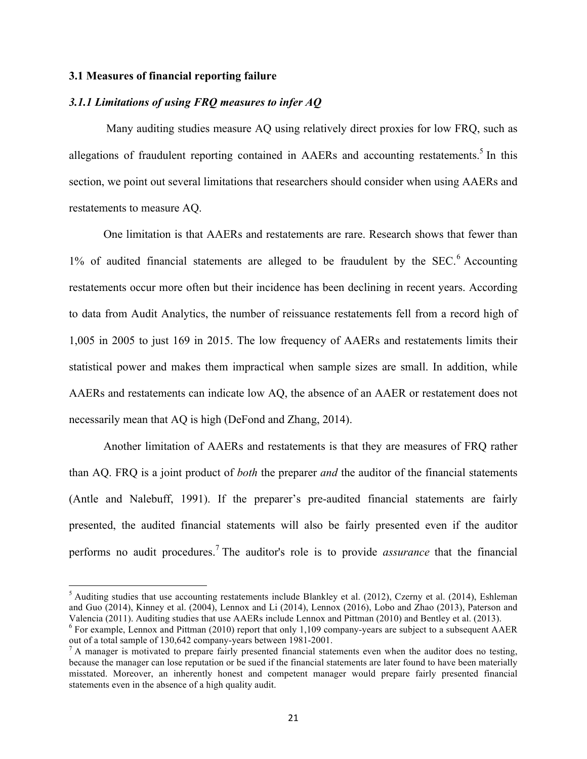## **3.1 Measures of financial reporting failure**

<u> 1989 - Jan Stein Stein, fransk politiker (d. 1989)</u>

## *3.1.1 Limitations of using FRQ measures to infer AQ*

Many auditing studies measure AQ using relatively direct proxies for low FRQ, such as allegations of fraudulent reporting contained in AAERs and accounting restatements.<sup>5</sup> In this section, we point out several limitations that researchers should consider when using AAERs and restatements to measure AQ.

One limitation is that AAERs and restatements are rare. Research shows that fewer than  $1\%$  of audited financial statements are alleged to be fraudulent by the SEC.<sup>6</sup> Accounting restatements occur more often but their incidence has been declining in recent years. According to data from Audit Analytics, the number of reissuance restatements fell from a record high of 1,005 in 2005 to just 169 in 2015. The low frequency of AAERs and restatements limits their statistical power and makes them impractical when sample sizes are small. In addition, while AAERs and restatements can indicate low AQ, the absence of an AAER or restatement does not necessarily mean that AQ is high (DeFond and Zhang, 2014).

Another limitation of AAERs and restatements is that they are measures of FRQ rather than AQ. FRQ is a joint product of *both* the preparer *and* the auditor of the financial statements (Antle and Nalebuff, 1991). If the preparer's pre-audited financial statements are fairly presented, the audited financial statements will also be fairly presented even if the auditor performs no audit procedures.<sup>7</sup> The auditor's role is to provide *assurance* that the financial

 $<sup>5</sup>$  Auditing studies that use accounting restatements include Blankley et al. (2012), Czerny et al. (2014), Eshleman</sup> and Guo (2014), Kinney et al. (2004), Lennox and Li (2014), Lennox (2016), Lobo and Zhao (2013), Paterson and Valencia (2011). Auditing studies that use AAERs include Lennox and Pittman (2010) and Bentley et al. (2013).

<sup>&</sup>lt;sup>6</sup> For example, Lennox and Pittman (2010) report that only 1,109 company-years are subject to a subsequent AAER out of a total sample of 130,642 company-years between 1981-2001.<br><sup>7</sup> A manager is motivated to prepare fairly presented financial statements even when the auditor does no testing,

because the manager can lose reputation or be sued if the financial statements are later found to have been materially misstated. Moreover, an inherently honest and competent manager would prepare fairly presented financial statements even in the absence of a high quality audit.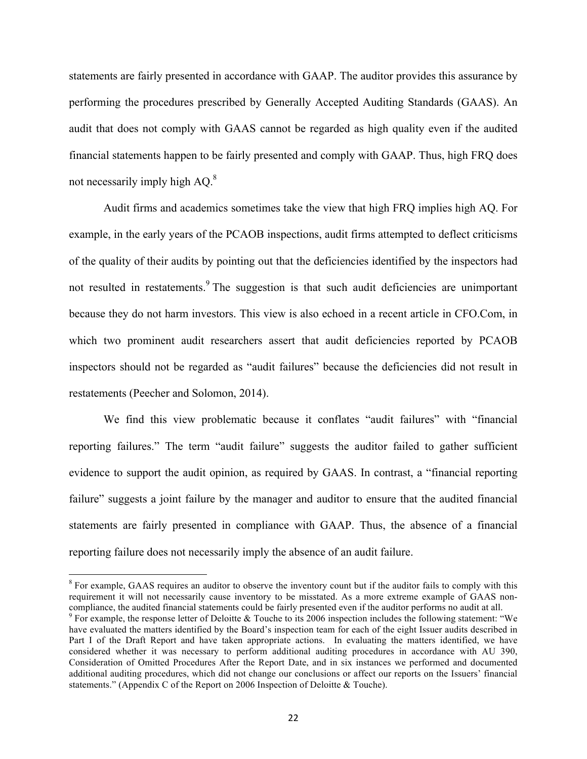statements are fairly presented in accordance with GAAP. The auditor provides this assurance by performing the procedures prescribed by Generally Accepted Auditing Standards (GAAS). An audit that does not comply with GAAS cannot be regarded as high quality even if the audited financial statements happen to be fairly presented and comply with GAAP. Thus, high FRQ does not necessarily imply high  $AO<sup>8</sup>$ .

Audit firms and academics sometimes take the view that high FRQ implies high AQ. For example, in the early years of the PCAOB inspections, audit firms attempted to deflect criticisms of the quality of their audits by pointing out that the deficiencies identified by the inspectors had not resulted in restatements.<sup>9</sup> The suggestion is that such audit deficiencies are unimportant because they do not harm investors. This view is also echoed in a recent article in CFO.Com, in which two prominent audit researchers assert that audit deficiencies reported by PCAOB inspectors should not be regarded as "audit failures" because the deficiencies did not result in restatements (Peecher and Solomon, 2014).

We find this view problematic because it conflates "audit failures" with "financial reporting failures." The term "audit failure" suggests the auditor failed to gather sufficient evidence to support the audit opinion, as required by GAAS. In contrast, a "financial reporting failure" suggests a joint failure by the manager and auditor to ensure that the audited financial statements are fairly presented in compliance with GAAP. Thus, the absence of a financial reporting failure does not necessarily imply the absence of an audit failure.

<u> 1989 - Jan Stein Stein, fransk politiker (d. 1989)</u>

 $8$  For example, GAAS requires an auditor to observe the inventory count but if the auditor fails to comply with this requirement it will not necessarily cause inventory to be misstated. As a more extreme example of GAAS noncompliance, the audited financial statements could be fairly presented even if the auditor performs no audit at all.

<sup>&</sup>lt;sup>9</sup> For example, the response letter of Deloitte & Touche to its 2006 inspection includes the following statement: "We have evaluated the matters identified by the Board's inspection team for each of the eight Issuer audits described in Part I of the Draft Report and have taken appropriate actions. In evaluating the matters identified, we have considered whether it was necessary to perform additional auditing procedures in accordance with AU 390, Consideration of Omitted Procedures After the Report Date, and in six instances we performed and documented additional auditing procedures, which did not change our conclusions or affect our reports on the Issuers' financial statements." (Appendix C of the Report on 2006 Inspection of Deloitte & Touche).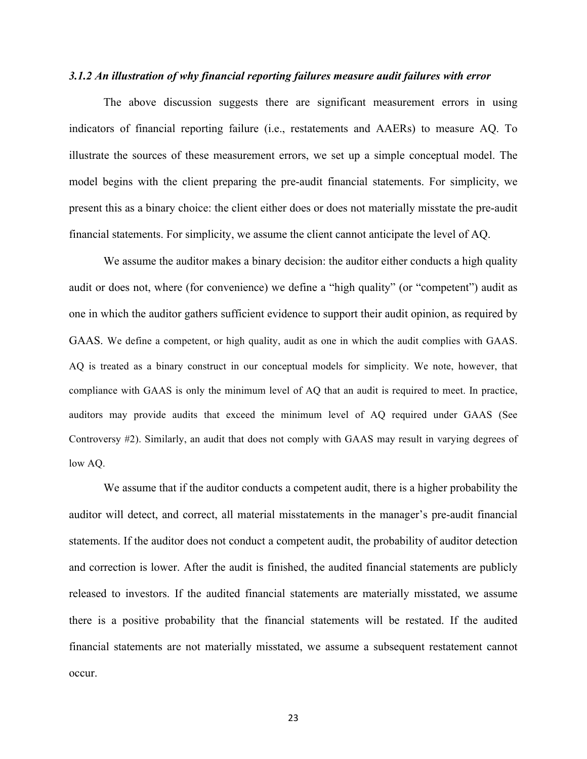## *3.1.2 An illustration of why financial reporting failures measure audit failures with error*

The above discussion suggests there are significant measurement errors in using indicators of financial reporting failure (i.e., restatements and AAERs) to measure AQ. To illustrate the sources of these measurement errors, we set up a simple conceptual model. The model begins with the client preparing the pre-audit financial statements. For simplicity, we present this as a binary choice: the client either does or does not materially misstate the pre-audit financial statements. For simplicity, we assume the client cannot anticipate the level of AQ.

We assume the auditor makes a binary decision: the auditor either conducts a high quality audit or does not, where (for convenience) we define a "high quality" (or "competent") audit as one in which the auditor gathers sufficient evidence to support their audit opinion, as required by GAAS. We define a competent, or high quality, audit as one in which the audit complies with GAAS. AQ is treated as a binary construct in our conceptual models for simplicity. We note, however, that compliance with GAAS is only the minimum level of AQ that an audit is required to meet. In practice, auditors may provide audits that exceed the minimum level of AQ required under GAAS (See Controversy #2). Similarly, an audit that does not comply with GAAS may result in varying degrees of low AQ.

We assume that if the auditor conducts a competent audit, there is a higher probability the auditor will detect, and correct, all material misstatements in the manager's pre-audit financial statements. If the auditor does not conduct a competent audit, the probability of auditor detection and correction is lower. After the audit is finished, the audited financial statements are publicly released to investors. If the audited financial statements are materially misstated, we assume there is a positive probability that the financial statements will be restated. If the audited financial statements are not materially misstated, we assume a subsequent restatement cannot occur.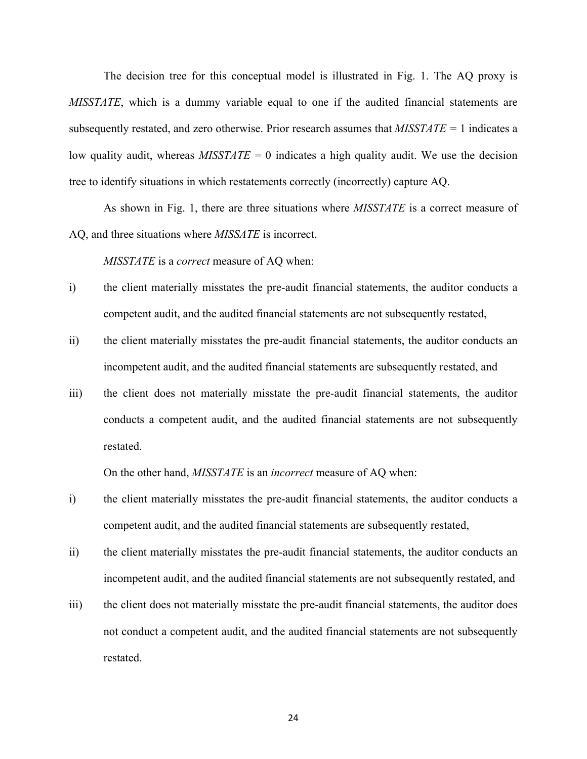The decision tree for this conceptual model is illustrated in Fig. 1. The AQ proxy is *MISSTATE*, which is a dummy variable equal to one if the audited financial statements are subsequently restated, and zero otherwise. Prior research assumes that *MISSTATE =* 1 indicates a low quality audit, whereas *MISSTATE =* 0 indicates a high quality audit. We use the decision tree to identify situations in which restatements correctly (incorrectly) capture AQ.

As shown in Fig. 1, there are three situations where *MISSTATE* is a correct measure of AQ, and three situations where *MISSATE* is incorrect.

*MISSTATE* is a *correct* measure of AQ when:

- i) the client materially misstates the pre-audit financial statements, the auditor conducts a competent audit, and the audited financial statements are not subsequently restated,
- ii) the client materially misstates the pre-audit financial statements, the auditor conducts an incompetent audit, and the audited financial statements are subsequently restated, and
- iii) the client does not materially misstate the pre-audit financial statements, the auditor conducts a competent audit, and the audited financial statements are not subsequently restated.

On the other hand, *MISSTATE* is an *incorrect* measure of AQ when:

- i) the client materially misstates the pre-audit financial statements, the auditor conducts a competent audit, and the audited financial statements are subsequently restated,
- ii) the client materially misstates the pre-audit financial statements, the auditor conducts an incompetent audit, and the audited financial statements are not subsequently restated, and
- iii) the client does not materially misstate the pre-audit financial statements, the auditor does not conduct a competent audit, and the audited financial statements are not subsequently restated.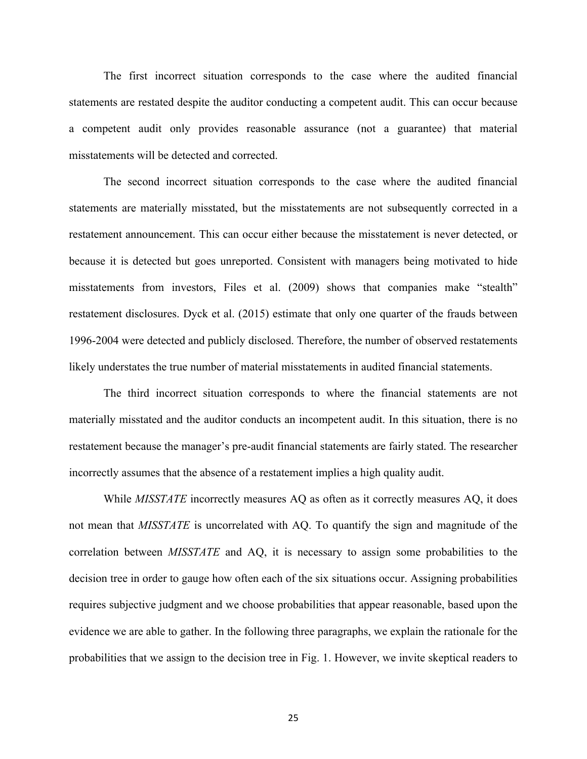The first incorrect situation corresponds to the case where the audited financial statements are restated despite the auditor conducting a competent audit. This can occur because a competent audit only provides reasonable assurance (not a guarantee) that material misstatements will be detected and corrected.

The second incorrect situation corresponds to the case where the audited financial statements are materially misstated, but the misstatements are not subsequently corrected in a restatement announcement. This can occur either because the misstatement is never detected, or because it is detected but goes unreported. Consistent with managers being motivated to hide misstatements from investors, Files et al. (2009) shows that companies make "stealth" restatement disclosures. Dyck et al. (2015) estimate that only one quarter of the frauds between 1996-2004 were detected and publicly disclosed. Therefore, the number of observed restatements likely understates the true number of material misstatements in audited financial statements.

The third incorrect situation corresponds to where the financial statements are not materially misstated and the auditor conducts an incompetent audit. In this situation, there is no restatement because the manager's pre-audit financial statements are fairly stated. The researcher incorrectly assumes that the absence of a restatement implies a high quality audit.

While *MISSTATE* incorrectly measures AQ as often as it correctly measures AQ, it does not mean that *MISSTATE* is uncorrelated with AQ. To quantify the sign and magnitude of the correlation between *MISSTATE* and AQ, it is necessary to assign some probabilities to the decision tree in order to gauge how often each of the six situations occur. Assigning probabilities requires subjective judgment and we choose probabilities that appear reasonable, based upon the evidence we are able to gather. In the following three paragraphs, we explain the rationale for the probabilities that we assign to the decision tree in Fig. 1. However, we invite skeptical readers to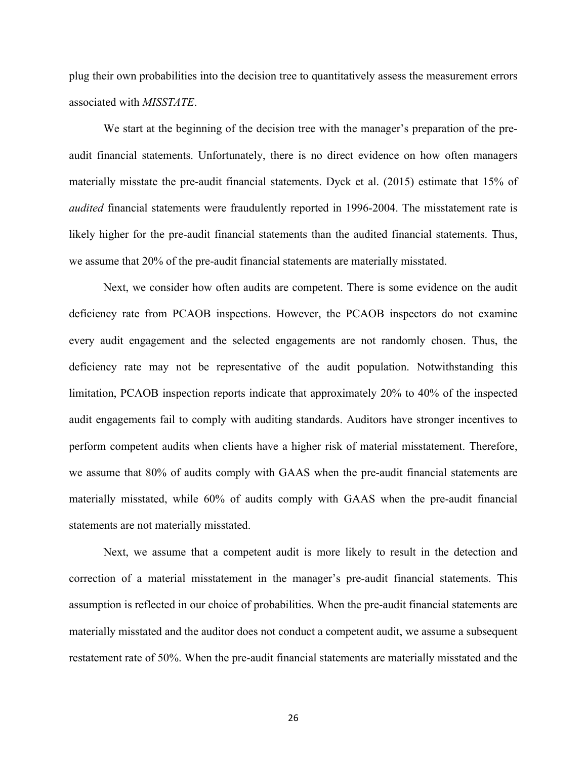plug their own probabilities into the decision tree to quantitatively assess the measurement errors associated with *MISSTATE*.

We start at the beginning of the decision tree with the manager's preparation of the preaudit financial statements. Unfortunately, there is no direct evidence on how often managers materially misstate the pre-audit financial statements. Dyck et al. (2015) estimate that 15% of *audited* financial statements were fraudulently reported in 1996-2004. The misstatement rate is likely higher for the pre-audit financial statements than the audited financial statements. Thus, we assume that 20% of the pre-audit financial statements are materially misstated.

Next, we consider how often audits are competent. There is some evidence on the audit deficiency rate from PCAOB inspections. However, the PCAOB inspectors do not examine every audit engagement and the selected engagements are not randomly chosen. Thus, the deficiency rate may not be representative of the audit population. Notwithstanding this limitation, PCAOB inspection reports indicate that approximately 20% to 40% of the inspected audit engagements fail to comply with auditing standards. Auditors have stronger incentives to perform competent audits when clients have a higher risk of material misstatement. Therefore, we assume that 80% of audits comply with GAAS when the pre-audit financial statements are materially misstated, while 60% of audits comply with GAAS when the pre-audit financial statements are not materially misstated.

Next, we assume that a competent audit is more likely to result in the detection and correction of a material misstatement in the manager's pre-audit financial statements. This assumption is reflected in our choice of probabilities. When the pre-audit financial statements are materially misstated and the auditor does not conduct a competent audit, we assume a subsequent restatement rate of 50%. When the pre-audit financial statements are materially misstated and the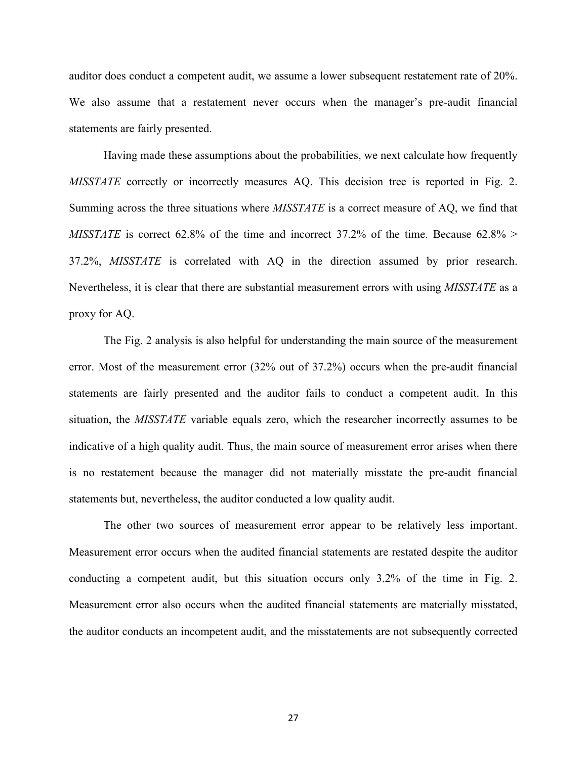auditor does conduct a competent audit, we assume a lower subsequent restatement rate of 20%. We also assume that a restatement never occurs when the manager's pre-audit financial statements are fairly presented.

Having made these assumptions about the probabilities, we next calculate how frequently *MISSTATE* correctly or incorrectly measures AQ. This decision tree is reported in Fig. 2. Summing across the three situations where *MISSTATE* is a correct measure of AQ, we find that *MISSTATE* is correct 62.8% of the time and incorrect 37.2% of the time. Because 62.8% > 37.2%, *MISSTATE* is correlated with AQ in the direction assumed by prior research. Nevertheless, it is clear that there are substantial measurement errors with using *MISSTATE* as a proxy for AQ.

The Fig. 2 analysis is also helpful for understanding the main source of the measurement error. Most of the measurement error (32% out of 37.2%) occurs when the pre-audit financial statements are fairly presented and the auditor fails to conduct a competent audit. In this situation, the *MISSTATE* variable equals zero, which the researcher incorrectly assumes to be indicative of a high quality audit. Thus, the main source of measurement error arises when there is no restatement because the manager did not materially misstate the pre-audit financial statements but, nevertheless, the auditor conducted a low quality audit.

The other two sources of measurement error appear to be relatively less important. Measurement error occurs when the audited financial statements are restated despite the auditor conducting a competent audit, but this situation occurs only 3.2% of the time in Fig. 2. Measurement error also occurs when the audited financial statements are materially misstated, the auditor conducts an incompetent audit, and the misstatements are not subsequently corrected

27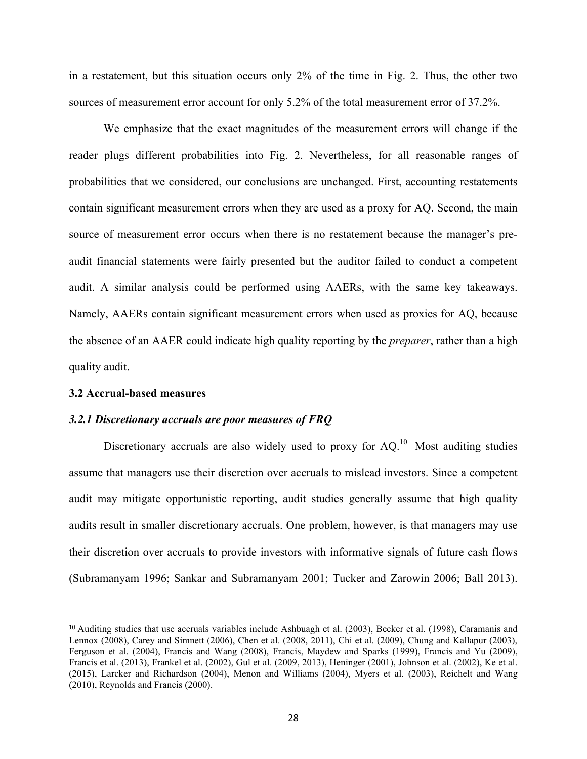in a restatement, but this situation occurs only 2% of the time in Fig. 2. Thus, the other two sources of measurement error account for only 5.2% of the total measurement error of 37.2%.

We emphasize that the exact magnitudes of the measurement errors will change if the reader plugs different probabilities into Fig. 2. Nevertheless, for all reasonable ranges of probabilities that we considered, our conclusions are unchanged. First, accounting restatements contain significant measurement errors when they are used as a proxy for AQ. Second, the main source of measurement error occurs when there is no restatement because the manager's preaudit financial statements were fairly presented but the auditor failed to conduct a competent audit. A similar analysis could be performed using AAERs, with the same key takeaways. Namely, AAERs contain significant measurement errors when used as proxies for AQ, because the absence of an AAER could indicate high quality reporting by the *preparer*, rather than a high quality audit.

## **3.2 Accrual-based measures**

<u> 1989 - Jan Stein Stein, fransk politiker (d. 1989)</u>

## *3.2.1 Discretionary accruals are poor measures of FRQ*

Discretionary accruals are also widely used to proxy for  $AQ<sup>10</sup>$ . Most auditing studies assume that managers use their discretion over accruals to mislead investors. Since a competent audit may mitigate opportunistic reporting, audit studies generally assume that high quality audits result in smaller discretionary accruals. One problem, however, is that managers may use their discretion over accruals to provide investors with informative signals of future cash flows (Subramanyam 1996; Sankar and Subramanyam 2001; Tucker and Zarowin 2006; Ball 2013).

<sup>10</sup> Auditing studies that use accruals variables include Ashbuagh et al. (2003), Becker et al. (1998), Caramanis and Lennox (2008), Carey and Simnett (2006), Chen et al. (2008, 2011), Chi et al. (2009), Chung and Kallapur (2003), Ferguson et al. (2004), Francis and Wang (2008), Francis, Maydew and Sparks (1999), Francis and Yu (2009), Francis et al. (2013), Frankel et al. (2002), Gul et al. (2009, 2013), Heninger (2001), Johnson et al. (2002), Ke et al. (2015), Larcker and Richardson (2004), Menon and Williams (2004), Myers et al. (2003), Reichelt and Wang (2010), Reynolds and Francis (2000).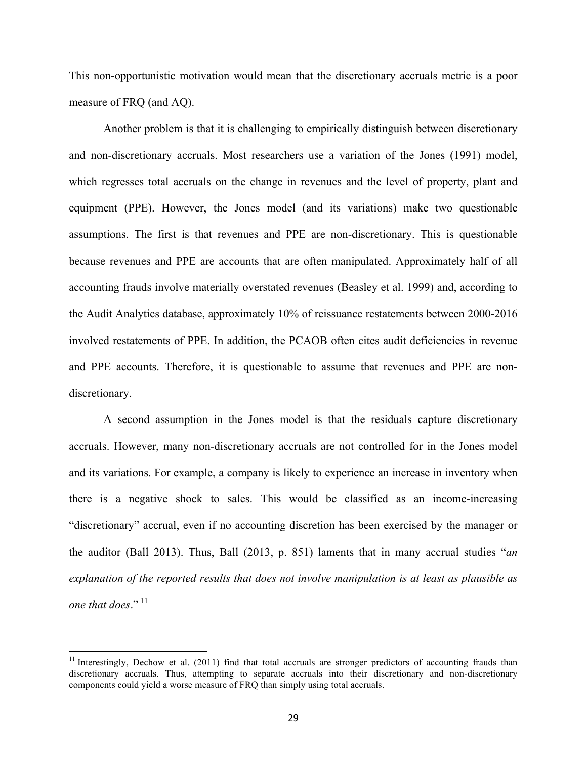This non-opportunistic motivation would mean that the discretionary accruals metric is a poor measure of FRQ (and AQ).

Another problem is that it is challenging to empirically distinguish between discretionary and non-discretionary accruals. Most researchers use a variation of the Jones (1991) model, which regresses total accruals on the change in revenues and the level of property, plant and equipment (PPE). However, the Jones model (and its variations) make two questionable assumptions. The first is that revenues and PPE are non-discretionary. This is questionable because revenues and PPE are accounts that are often manipulated. Approximately half of all accounting frauds involve materially overstated revenues (Beasley et al. 1999) and, according to the Audit Analytics database, approximately 10% of reissuance restatements between 2000-2016 involved restatements of PPE. In addition, the PCAOB often cites audit deficiencies in revenue and PPE accounts. Therefore, it is questionable to assume that revenues and PPE are nondiscretionary.

A second assumption in the Jones model is that the residuals capture discretionary accruals. However, many non-discretionary accruals are not controlled for in the Jones model and its variations. For example, a company is likely to experience an increase in inventory when there is a negative shock to sales. This would be classified as an income-increasing "discretionary" accrual, even if no accounting discretion has been exercised by the manager or the auditor (Ball 2013). Thus, Ball (2013, p. 851) laments that in many accrual studies "*an explanation of the reported results that does not involve manipulation is at least as plausible as one that does.*"<sup>11</sup>

 

<sup>&</sup>lt;sup>11</sup> Interestingly, Dechow et al. (2011) find that total accruals are stronger predictors of accounting frauds than discretionary accruals. Thus, attempting to separate accruals into their discretionary and non-discretionary components could yield a worse measure of FRQ than simply using total accruals.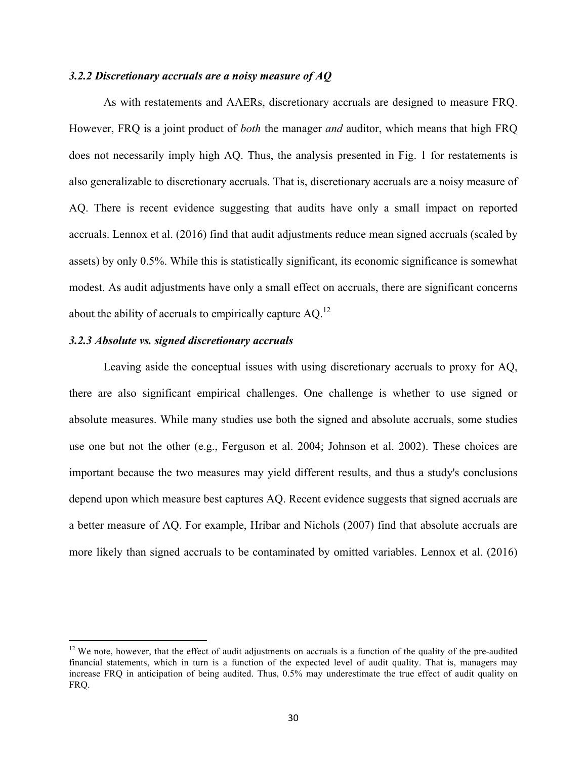## *3.2.2 Discretionary accruals are a noisy measure of AQ*

As with restatements and AAERs, discretionary accruals are designed to measure FRQ. However, FRQ is a joint product of *both* the manager *and* auditor, which means that high FRQ does not necessarily imply high AQ. Thus, the analysis presented in Fig. 1 for restatements is also generalizable to discretionary accruals. That is, discretionary accruals are a noisy measure of AQ. There is recent evidence suggesting that audits have only a small impact on reported accruals. Lennox et al. (2016) find that audit adjustments reduce mean signed accruals (scaled by assets) by only 0.5%. While this is statistically significant, its economic significance is somewhat modest. As audit adjustments have only a small effect on accruals, there are significant concerns about the ability of accruals to empirically capture AQ.<sup>12</sup>

## *3.2.3 Absolute vs. signed discretionary accruals*

<u> 1989 - Johann Stein, markin film yn y breninn y breninn y breninn y breninn y breninn y breninn y breninn y b</u>

Leaving aside the conceptual issues with using discretionary accruals to proxy for AQ, there are also significant empirical challenges. One challenge is whether to use signed or absolute measures. While many studies use both the signed and absolute accruals, some studies use one but not the other (e.g., Ferguson et al. 2004; Johnson et al. 2002). These choices are important because the two measures may yield different results, and thus a study's conclusions depend upon which measure best captures AQ. Recent evidence suggests that signed accruals are a better measure of AQ. For example, Hribar and Nichols (2007) find that absolute accruals are more likely than signed accruals to be contaminated by omitted variables. Lennox et al. (2016)

 $12$  We note, however, that the effect of audit adjustments on accruals is a function of the quality of the pre-audited financial statements, which in turn is a function of the expected level of audit quality. That is, managers may increase FRQ in anticipation of being audited. Thus, 0.5% may underestimate the true effect of audit quality on FRQ.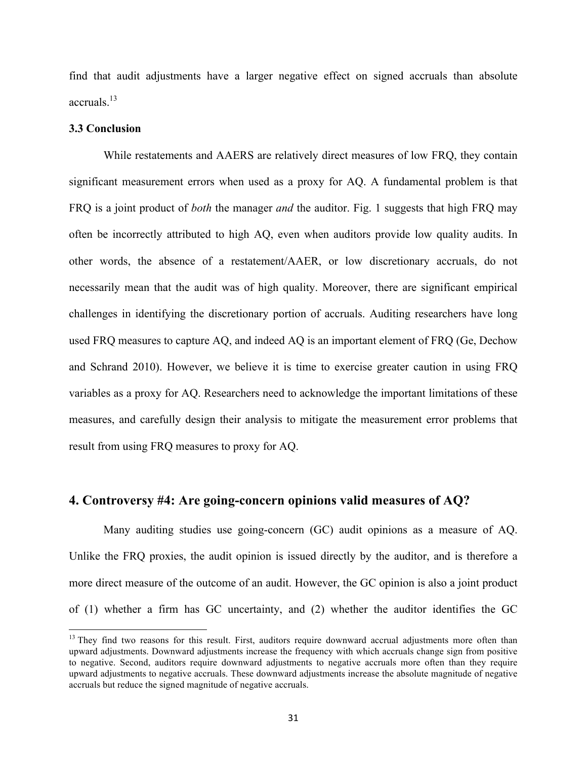find that audit adjustments have a larger negative effect on signed accruals than absolute accruals.13

#### **3.3 Conclusion**

<u> 1989 - Johann Stein, markin film yn y breninn y breninn y breninn y breninn y breninn y breninn y breninn y b</u>

While restatements and AAERS are relatively direct measures of low FRQ, they contain significant measurement errors when used as a proxy for AQ. A fundamental problem is that FRQ is a joint product of *both* the manager *and* the auditor. Fig. 1 suggests that high FRQ may often be incorrectly attributed to high AQ, even when auditors provide low quality audits. In other words, the absence of a restatement/AAER, or low discretionary accruals, do not necessarily mean that the audit was of high quality. Moreover, there are significant empirical challenges in identifying the discretionary portion of accruals. Auditing researchers have long used FRQ measures to capture AQ, and indeed AQ is an important element of FRQ (Ge, Dechow and Schrand 2010). However, we believe it is time to exercise greater caution in using FRQ variables as a proxy for AQ. Researchers need to acknowledge the important limitations of these measures, and carefully design their analysis to mitigate the measurement error problems that result from using FRQ measures to proxy for AQ.

## **4. Controversy #4: Are going-concern opinions valid measures of AQ?**

Many auditing studies use going-concern (GC) audit opinions as a measure of AQ. Unlike the FRQ proxies, the audit opinion is issued directly by the auditor, and is therefore a more direct measure of the outcome of an audit. However, the GC opinion is also a joint product of (1) whether a firm has GC uncertainty, and (2) whether the auditor identifies the GC

<sup>&</sup>lt;sup>13</sup> They find two reasons for this result. First, auditors require downward accrual adjustments more often than upward adjustments. Downward adjustments increase the frequency with which accruals change sign from positive to negative. Second, auditors require downward adjustments to negative accruals more often than they require upward adjustments to negative accruals. These downward adjustments increase the absolute magnitude of negative accruals but reduce the signed magnitude of negative accruals.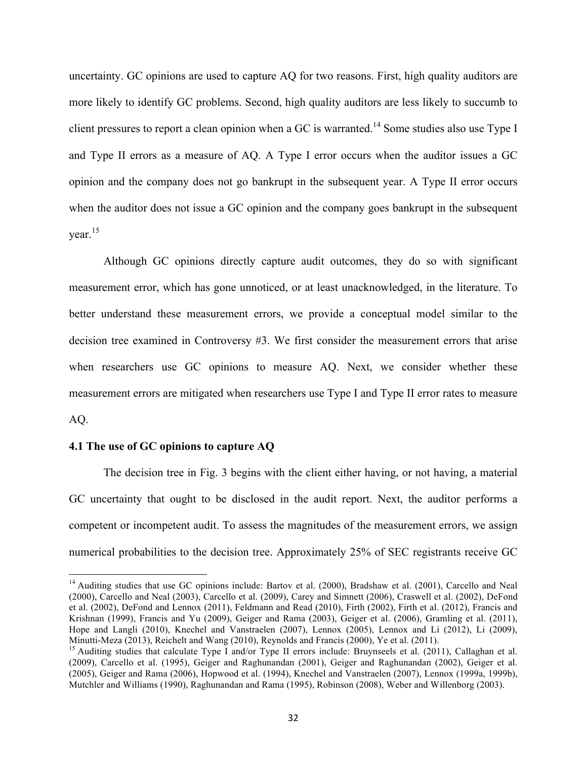uncertainty. GC opinions are used to capture AQ for two reasons. First, high quality auditors are more likely to identify GC problems. Second, high quality auditors are less likely to succumb to client pressures to report a clean opinion when a GC is warranted.<sup>14</sup> Some studies also use Type I and Type II errors as a measure of AQ. A Type I error occurs when the auditor issues a GC opinion and the company does not go bankrupt in the subsequent year. A Type II error occurs when the auditor does not issue a GC opinion and the company goes bankrupt in the subsequent year. 15

Although GC opinions directly capture audit outcomes, they do so with significant measurement error, which has gone unnoticed, or at least unacknowledged, in the literature. To better understand these measurement errors, we provide a conceptual model similar to the decision tree examined in Controversy #3. We first consider the measurement errors that arise when researchers use GC opinions to measure AQ. Next, we consider whether these measurement errors are mitigated when researchers use Type I and Type II error rates to measure AQ.

## **4.1 The use of GC opinions to capture AQ**

<u> 1989 - Johann Stein, markin film yn y breninn y breninn y breninn y breninn y breninn y breninn y breninn y b</u>

The decision tree in Fig. 3 begins with the client either having, or not having, a material GC uncertainty that ought to be disclosed in the audit report. Next, the auditor performs a competent or incompetent audit. To assess the magnitudes of the measurement errors, we assign numerical probabilities to the decision tree. Approximately 25% of SEC registrants receive GC

<sup>&</sup>lt;sup>14</sup> Auditing studies that use GC opinions include: Bartov et al. (2000), Bradshaw et al. (2001), Carcello and Neal (2000), Carcello and Neal (2003), Carcello et al. (2009), Carey and Simnett (2006), Craswell et al. (2002), DeFond et al. (2002), DeFond and Lennox (2011), Feldmann and Read (2010), Firth (2002), Firth et al. (2012), Francis and Krishnan (1999), Francis and Yu (2009), Geiger and Rama (2003), Geiger et al. (2006), Gramling et al. (2011), Hope and Langli (2010), Knechel and Vanstraelen (2007), Lennox (2005), Lennox and Li (2012), Li (2009), Minutti-Meza (2013), Reichelt and Wang (2010), Reynolds and Francis (2000), Ye et al. (2011). 15 Auditing studies that calculate Type I and/or Type II errors include: Bruynseels et al. (2011), Callaghan et al.

<sup>(2009),</sup> Carcello et al. (1995), Geiger and Raghunandan (2001), Geiger and Raghunandan (2002), Geiger et al. (2005), Geiger and Rama (2006), Hopwood et al. (1994), Knechel and Vanstraelen (2007), Lennox (1999a, 1999b), Mutchler and Williams (1990), Raghunandan and Rama (1995), Robinson (2008), Weber and Willenborg (2003).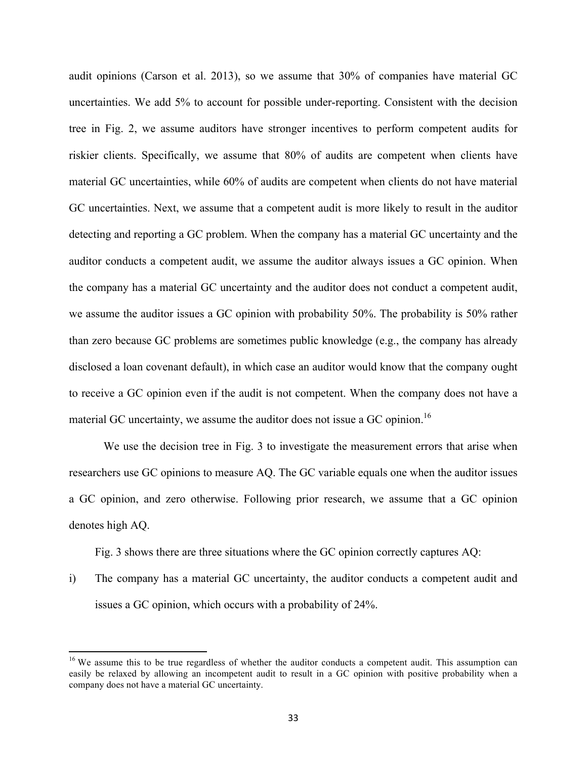audit opinions (Carson et al. 2013), so we assume that 30% of companies have material GC uncertainties. We add 5% to account for possible under-reporting. Consistent with the decision tree in Fig. 2, we assume auditors have stronger incentives to perform competent audits for riskier clients. Specifically, we assume that 80% of audits are competent when clients have material GC uncertainties, while 60% of audits are competent when clients do not have material GC uncertainties. Next, we assume that a competent audit is more likely to result in the auditor detecting and reporting a GC problem. When the company has a material GC uncertainty and the auditor conducts a competent audit, we assume the auditor always issues a GC opinion. When the company has a material GC uncertainty and the auditor does not conduct a competent audit, we assume the auditor issues a GC opinion with probability 50%. The probability is 50% rather than zero because GC problems are sometimes public knowledge (e.g., the company has already disclosed a loan covenant default), in which case an auditor would know that the company ought to receive a GC opinion even if the audit is not competent. When the company does not have a material GC uncertainty, we assume the auditor does not issue a GC opinion.<sup>16</sup>

We use the decision tree in Fig. 3 to investigate the measurement errors that arise when researchers use GC opinions to measure AQ. The GC variable equals one when the auditor issues a GC opinion, and zero otherwise. Following prior research, we assume that a GC opinion denotes high AQ.

Fig. 3 shows there are three situations where the GC opinion correctly captures AQ:

i) The company has a material GC uncertainty, the auditor conducts a competent audit and issues a GC opinion, which occurs with a probability of 24%.

 

<sup>&</sup>lt;sup>16</sup> We assume this to be true regardless of whether the auditor conducts a competent audit. This assumption can easily be relaxed by allowing an incompetent audit to result in a GC opinion with positive probability when a company does not have a material GC uncertainty.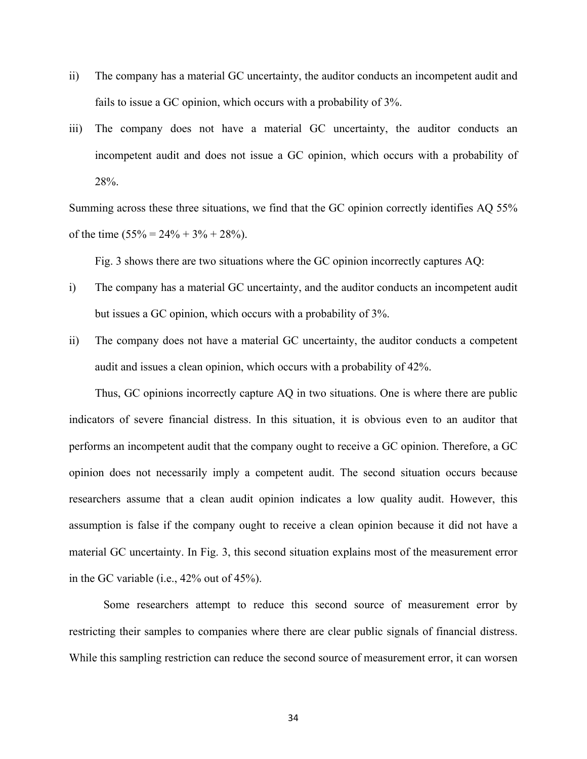- ii) The company has a material GC uncertainty, the auditor conducts an incompetent audit and fails to issue a GC opinion, which occurs with a probability of 3%.
- iii) The company does not have a material GC uncertainty, the auditor conducts an incompetent audit and does not issue a GC opinion, which occurs with a probability of 28%.

Summing across these three situations, we find that the GC opinion correctly identifies AQ 55% of the time  $(55\% = 24\% + 3\% + 28\%)$ .

Fig. 3 shows there are two situations where the GC opinion incorrectly captures AQ:

- i) The company has a material GC uncertainty, and the auditor conducts an incompetent audit but issues a GC opinion, which occurs with a probability of 3%.
- ii) The company does not have a material GC uncertainty, the auditor conducts a competent audit and issues a clean opinion, which occurs with a probability of 42%.

Thus, GC opinions incorrectly capture AQ in two situations. One is where there are public indicators of severe financial distress. In this situation, it is obvious even to an auditor that performs an incompetent audit that the company ought to receive a GC opinion. Therefore, a GC opinion does not necessarily imply a competent audit. The second situation occurs because researchers assume that a clean audit opinion indicates a low quality audit. However, this assumption is false if the company ought to receive a clean opinion because it did not have a material GC uncertainty. In Fig. 3, this second situation explains most of the measurement error in the GC variable (i.e., 42% out of 45%).

Some researchers attempt to reduce this second source of measurement error by restricting their samples to companies where there are clear public signals of financial distress. While this sampling restriction can reduce the second source of measurement error, it can worsen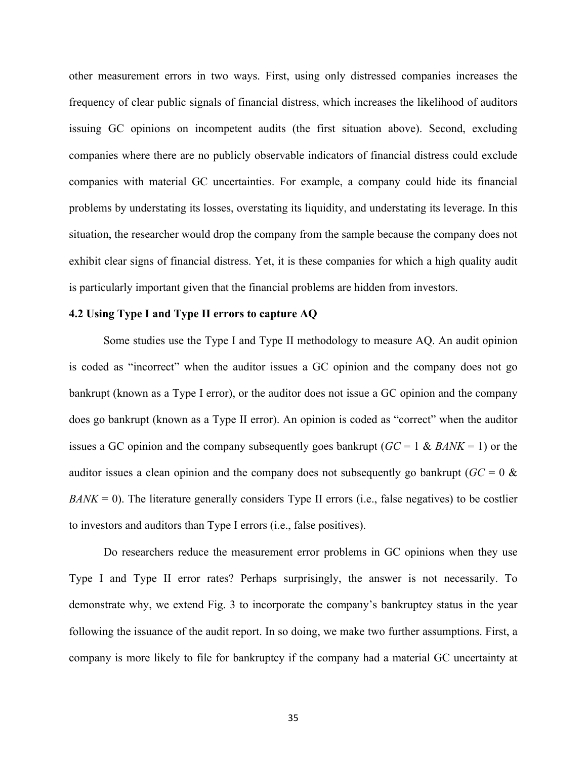other measurement errors in two ways. First, using only distressed companies increases the frequency of clear public signals of financial distress, which increases the likelihood of auditors issuing GC opinions on incompetent audits (the first situation above). Second, excluding companies where there are no publicly observable indicators of financial distress could exclude companies with material GC uncertainties. For example, a company could hide its financial problems by understating its losses, overstating its liquidity, and understating its leverage. In this situation, the researcher would drop the company from the sample because the company does not exhibit clear signs of financial distress. Yet, it is these companies for which a high quality audit is particularly important given that the financial problems are hidden from investors.

## **4.2 Using Type I and Type II errors to capture AQ**

Some studies use the Type I and Type II methodology to measure AQ. An audit opinion is coded as "incorrect" when the auditor issues a GC opinion and the company does not go bankrupt (known as a Type I error), or the auditor does not issue a GC opinion and the company does go bankrupt (known as a Type II error). An opinion is coded as "correct" when the auditor issues a GC opinion and the company subsequently goes bankrupt (*GC* = 1 & *BANK* = 1) or the auditor issues a clean opinion and the company does not subsequently go bankrupt ( $GC = 0$  &  $BANK = 0$ ). The literature generally considers Type II errors (i.e., false negatives) to be costlier to investors and auditors than Type I errors (i.e., false positives).

Do researchers reduce the measurement error problems in GC opinions when they use Type I and Type II error rates? Perhaps surprisingly, the answer is not necessarily. To demonstrate why, we extend Fig. 3 to incorporate the company's bankruptcy status in the year following the issuance of the audit report. In so doing, we make two further assumptions. First, a company is more likely to file for bankruptcy if the company had a material GC uncertainty at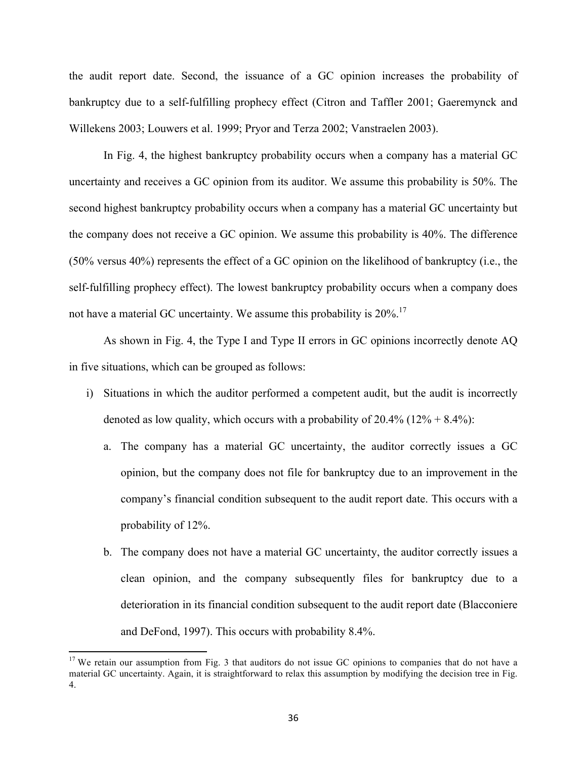the audit report date. Second, the issuance of a GC opinion increases the probability of bankruptcy due to a self-fulfilling prophecy effect (Citron and Taffler 2001; Gaeremynck and Willekens 2003; Louwers et al. 1999; Pryor and Terza 2002; Vanstraelen 2003).

In Fig. 4, the highest bankruptcy probability occurs when a company has a material GC uncertainty and receives a GC opinion from its auditor. We assume this probability is 50%. The second highest bankruptcy probability occurs when a company has a material GC uncertainty but the company does not receive a GC opinion. We assume this probability is 40%. The difference (50% versus 40%) represents the effect of a GC opinion on the likelihood of bankruptcy (i.e., the self-fulfilling prophecy effect). The lowest bankruptcy probability occurs when a company does not have a material GC uncertainty. We assume this probability is  $20\%$ .<sup>17</sup>

As shown in Fig. 4, the Type I and Type II errors in GC opinions incorrectly denote AQ in five situations, which can be grouped as follows:

- i) Situations in which the auditor performed a competent audit, but the audit is incorrectly denoted as low quality, which occurs with a probability of  $20.4\%$  (12% + 8.4%):
	- a. The company has a material GC uncertainty, the auditor correctly issues a GC opinion, but the company does not file for bankruptcy due to an improvement in the company's financial condition subsequent to the audit report date. This occurs with a probability of 12%.
	- b. The company does not have a material GC uncertainty, the auditor correctly issues a clean opinion, and the company subsequently files for bankruptcy due to a deterioration in its financial condition subsequent to the audit report date (Blacconiere and DeFond, 1997). This occurs with probability 8.4%.

 

<sup>&</sup>lt;sup>17</sup> We retain our assumption from Fig. 3 that auditors do not issue GC opinions to companies that do not have a material GC uncertainty. Again, it is straightforward to relax this assumption by modifying the decision tree in Fig. 4.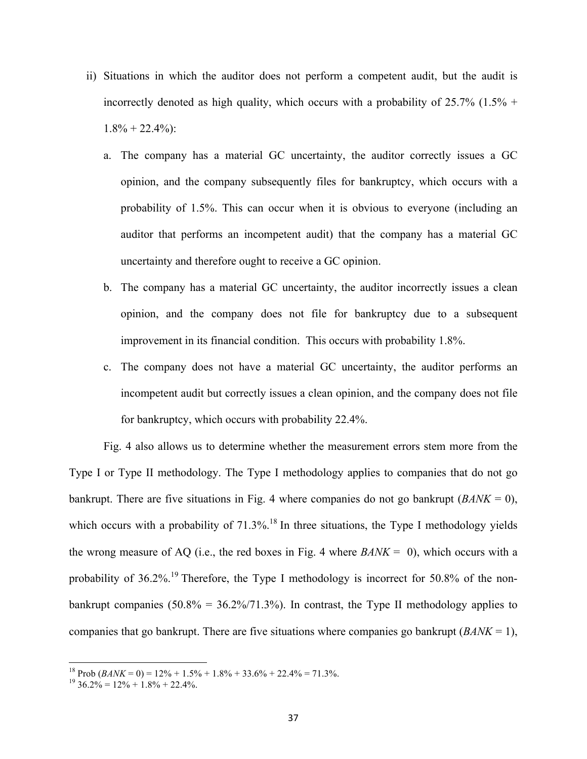- ii) Situations in which the auditor does not perform a competent audit, but the audit is incorrectly denoted as high quality, which occurs with a probability of  $25.7\%$  (1.5% +  $1.8\% + 22.4\%$ :
	- a. The company has a material GC uncertainty, the auditor correctly issues a GC opinion, and the company subsequently files for bankruptcy, which occurs with a probability of 1.5%. This can occur when it is obvious to everyone (including an auditor that performs an incompetent audit) that the company has a material GC uncertainty and therefore ought to receive a GC opinion.
	- b. The company has a material GC uncertainty, the auditor incorrectly issues a clean opinion, and the company does not file for bankruptcy due to a subsequent improvement in its financial condition. This occurs with probability 1.8%.
	- c. The company does not have a material GC uncertainty, the auditor performs an incompetent audit but correctly issues a clean opinion, and the company does not file for bankruptcy, which occurs with probability 22.4%.

Fig. 4 also allows us to determine whether the measurement errors stem more from the Type I or Type II methodology. The Type I methodology applies to companies that do not go bankrupt. There are five situations in Fig. 4 where companies do not go bankrupt (*BANK* = 0), which occurs with a probability of  $71.3\%$ .<sup>18</sup> In three situations, the Type I methodology yields the wrong measure of AQ (i.e., the red boxes in Fig. 4 where  $BANK = 0$ ), which occurs with a probability of  $36.2\%$ .<sup>19</sup> Therefore, the Type I methodology is incorrect for  $50.8\%$  of the nonbankrupt companies  $(50.8\% = 36.2\%/71.3\%)$ . In contrast, the Type II methodology applies to companies that go bankrupt. There are five situations where companies go bankrupt (*BANK* = 1),

<u> 1989 - Johann Stein, markin film yn y breninn y breninn y breninn y breninn y breninn y breninn y breninn y b</u>

<sup>&</sup>lt;sup>18</sup> Prob  $(BANK = 0) = 12\% + 1.5\% + 1.8\% + 33.6\% + 22.4\% = 71.3\%$ .<br><sup>19</sup> 36.2% = 12% + 1.8% + 22.4%.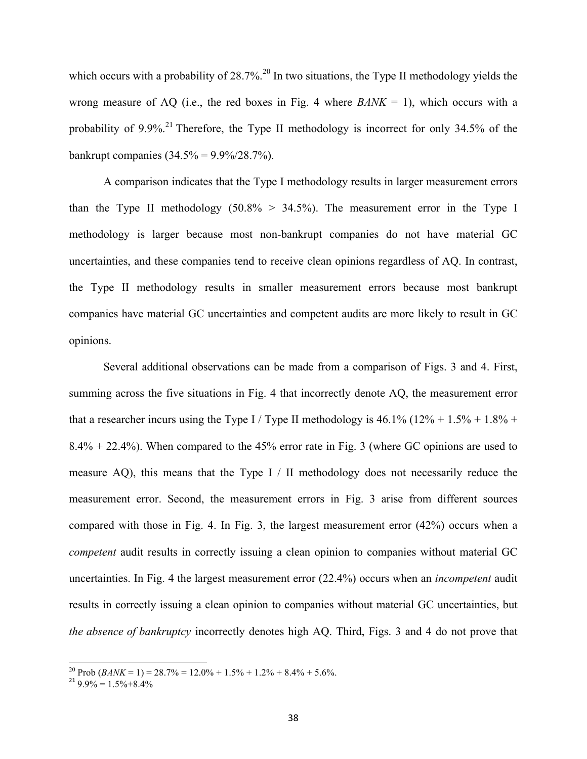which occurs with a probability of 28.7%.<sup>20</sup> In two situations, the Type II methodology yields the wrong measure of AQ (i.e., the red boxes in Fig. 4 where  $BANK = 1$ ), which occurs with a probability of 9.9%.<sup>21</sup> Therefore, the Type II methodology is incorrect for only 34.5% of the bankrupt companies  $(34.5\% = 9.9\%/28.7\%)$ .

A comparison indicates that the Type I methodology results in larger measurement errors than the Type II methodology  $(50.8\% > 34.5\%)$ . The measurement error in the Type I methodology is larger because most non-bankrupt companies do not have material GC uncertainties, and these companies tend to receive clean opinions regardless of AQ. In contrast, the Type II methodology results in smaller measurement errors because most bankrupt companies have material GC uncertainties and competent audits are more likely to result in GC opinions.

Several additional observations can be made from a comparison of Figs. 3 and 4. First, summing across the five situations in Fig. 4 that incorrectly denote AQ, the measurement error that a researcher incurs using the Type I / Type II methodology is  $46.1\%$  ( $12\% + 1.5\% + 1.8\% +$ 8.4% + 22.4%). When compared to the 45% error rate in Fig. 3 (where GC opinions are used to measure AQ), this means that the Type  $I / II$  methodology does not necessarily reduce the measurement error. Second, the measurement errors in Fig. 3 arise from different sources compared with those in Fig. 4. In Fig. 3, the largest measurement error (42%) occurs when a *competent* audit results in correctly issuing a clean opinion to companies without material GC uncertainties. In Fig. 4 the largest measurement error (22.4%) occurs when an *incompetent* audit results in correctly issuing a clean opinion to companies without material GC uncertainties, but *the absence of bankruptcy* incorrectly denotes high AQ. Third, Figs. 3 and 4 do not prove that

<u> 1989 - Johann Stein, markin film yn y breninn y breninn y breninn y breninn y breninn y breninn y breninn y b</u>

<sup>&</sup>lt;sup>20</sup> Prob  $(BANK = 1) = 28.7% = 12.0% + 1.5% + 1.2% + 8.4% + 5.6%$ .<br><sup>21</sup> 9.9% = 1.5% + 8.4%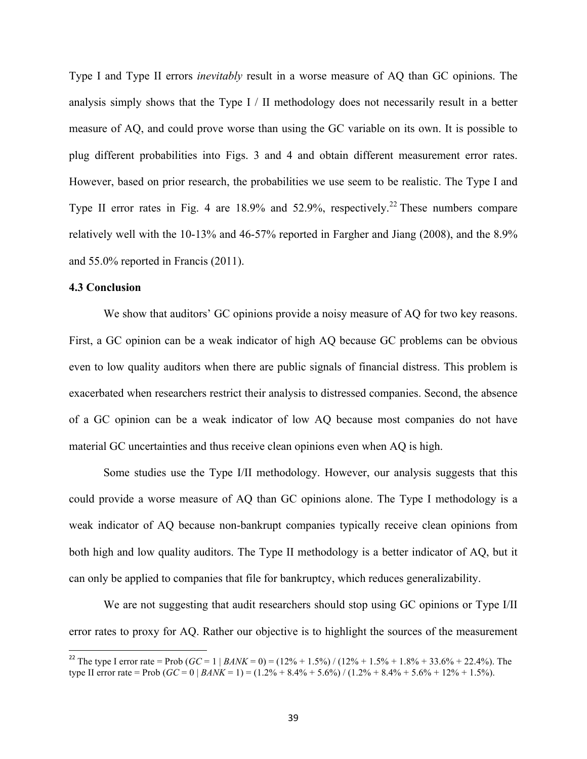Type I and Type II errors *inevitably* result in a worse measure of AQ than GC opinions. The analysis simply shows that the Type I / II methodology does not necessarily result in a better measure of AQ, and could prove worse than using the GC variable on its own. It is possible to plug different probabilities into Figs. 3 and 4 and obtain different measurement error rates. However, based on prior research, the probabilities we use seem to be realistic. The Type I and Type II error rates in Fig. 4 are  $18.9\%$  and  $52.9\%$ , respectively.<sup>22</sup> These numbers compare relatively well with the 10-13% and 46-57% reported in Fargher and Jiang (2008), and the 8.9% and 55.0% reported in Francis (2011).

## **4.3 Conclusion**

<u> 1989 - Johann Stein, markin film yn y breninn y breninn y breninn y breninn y breninn y breninn y breninn y b</u>

We show that auditors' GC opinions provide a noisy measure of AQ for two key reasons. First, a GC opinion can be a weak indicator of high AQ because GC problems can be obvious even to low quality auditors when there are public signals of financial distress. This problem is exacerbated when researchers restrict their analysis to distressed companies. Second, the absence of a GC opinion can be a weak indicator of low AQ because most companies do not have material GC uncertainties and thus receive clean opinions even when AQ is high.

Some studies use the Type I/II methodology. However, our analysis suggests that this could provide a worse measure of AQ than GC opinions alone. The Type I methodology is a weak indicator of AQ because non-bankrupt companies typically receive clean opinions from both high and low quality auditors. The Type II methodology is a better indicator of AQ, but it can only be applied to companies that file for bankruptcy, which reduces generalizability.

We are not suggesting that audit researchers should stop using GC opinions or Type I/II error rates to proxy for AQ. Rather our objective is to highlight the sources of the measurement

<sup>&</sup>lt;sup>22</sup> The type I error rate = Prob  $(GC = 1 | BANK = 0) = (12\% + 1.5\%) / (12\% + 1.5\% + 1.8\% + 33.6\% + 22.4\%)$ . The type II error rate = Prob  $(GC = 0 | BANK = 1) = (1.2\% + 8.4\% + 5.6\%) / (1.2\% + 8.4\% + 5.6\% + 12\% + 1.5\%)$ .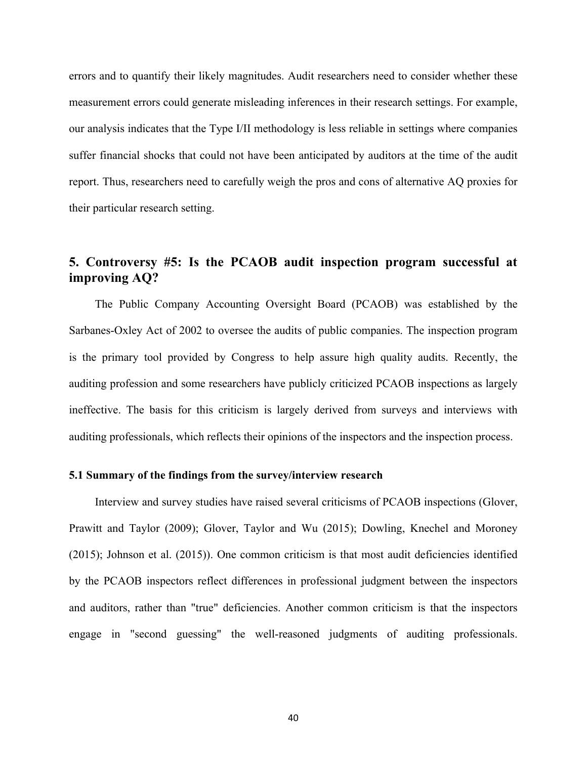errors and to quantify their likely magnitudes. Audit researchers need to consider whether these measurement errors could generate misleading inferences in their research settings. For example, our analysis indicates that the Type I/II methodology is less reliable in settings where companies suffer financial shocks that could not have been anticipated by auditors at the time of the audit report. Thus, researchers need to carefully weigh the pros and cons of alternative AQ proxies for their particular research setting.

# **5. Controversy #5: Is the PCAOB audit inspection program successful at improving AQ?**

The Public Company Accounting Oversight Board (PCAOB) was established by the Sarbanes-Oxley Act of 2002 to oversee the audits of public companies. The inspection program is the primary tool provided by Congress to help assure high quality audits. Recently, the auditing profession and some researchers have publicly criticized PCAOB inspections as largely ineffective. The basis for this criticism is largely derived from surveys and interviews with auditing professionals, which reflects their opinions of the inspectors and the inspection process.

## **5.1 Summary of the findings from the survey/interview research**

Interview and survey studies have raised several criticisms of PCAOB inspections (Glover, Prawitt and Taylor (2009); Glover, Taylor and Wu (2015); Dowling, Knechel and Moroney (2015); Johnson et al. (2015)). One common criticism is that most audit deficiencies identified by the PCAOB inspectors reflect differences in professional judgment between the inspectors and auditors, rather than "true" deficiencies. Another common criticism is that the inspectors engage in "second guessing" the well-reasoned judgments of auditing professionals.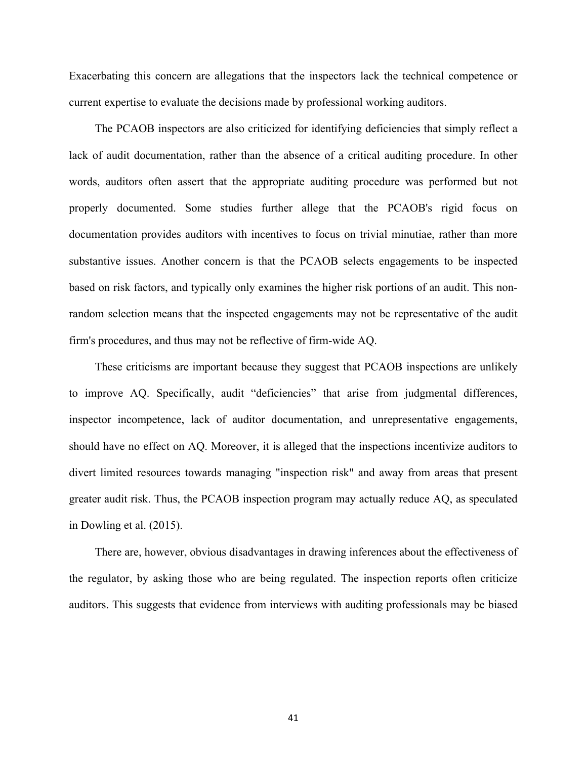Exacerbating this concern are allegations that the inspectors lack the technical competence or current expertise to evaluate the decisions made by professional working auditors.

The PCAOB inspectors are also criticized for identifying deficiencies that simply reflect a lack of audit documentation, rather than the absence of a critical auditing procedure. In other words, auditors often assert that the appropriate auditing procedure was performed but not properly documented. Some studies further allege that the PCAOB's rigid focus on documentation provides auditors with incentives to focus on trivial minutiae, rather than more substantive issues. Another concern is that the PCAOB selects engagements to be inspected based on risk factors, and typically only examines the higher risk portions of an audit. This nonrandom selection means that the inspected engagements may not be representative of the audit firm's procedures, and thus may not be reflective of firm-wide AQ.

These criticisms are important because they suggest that PCAOB inspections are unlikely to improve AQ. Specifically, audit "deficiencies" that arise from judgmental differences, inspector incompetence, lack of auditor documentation, and unrepresentative engagements, should have no effect on AQ. Moreover, it is alleged that the inspections incentivize auditors to divert limited resources towards managing "inspection risk" and away from areas that present greater audit risk. Thus, the PCAOB inspection program may actually reduce AQ, as speculated in Dowling et al. (2015).

There are, however, obvious disadvantages in drawing inferences about the effectiveness of the regulator, by asking those who are being regulated. The inspection reports often criticize auditors. This suggests that evidence from interviews with auditing professionals may be biased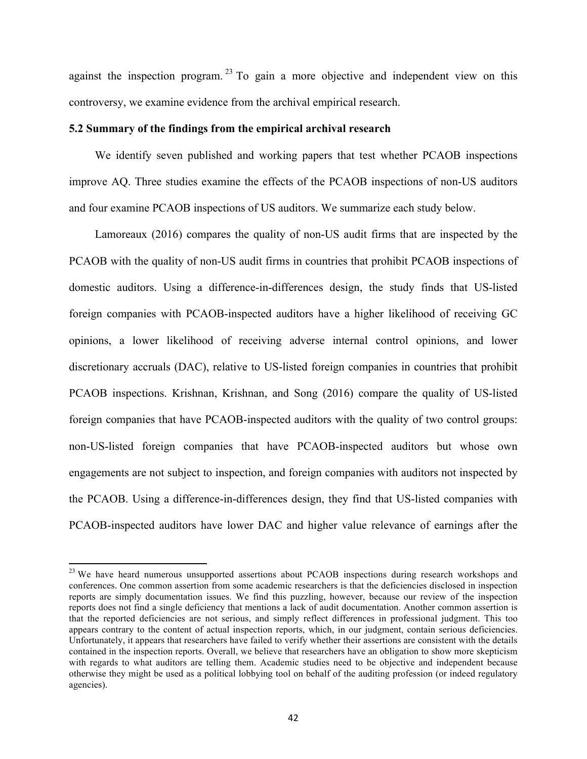against the inspection program.<sup>23</sup> To gain a more objective and independent view on this controversy, we examine evidence from the archival empirical research.

## **5.2 Summary of the findings from the empirical archival research**

We identify seven published and working papers that test whether PCAOB inspections improve AQ. Three studies examine the effects of the PCAOB inspections of non-US auditors and four examine PCAOB inspections of US auditors. We summarize each study below.

Lamoreaux (2016) compares the quality of non-US audit firms that are inspected by the PCAOB with the quality of non-US audit firms in countries that prohibit PCAOB inspections of domestic auditors. Using a difference-in-differences design, the study finds that US-listed foreign companies with PCAOB-inspected auditors have a higher likelihood of receiving GC opinions, a lower likelihood of receiving adverse internal control opinions, and lower discretionary accruals (DAC), relative to US-listed foreign companies in countries that prohibit PCAOB inspections. Krishnan, Krishnan, and Song (2016) compare the quality of US-listed foreign companies that have PCAOB-inspected auditors with the quality of two control groups: non-US-listed foreign companies that have PCAOB-inspected auditors but whose own engagements are not subject to inspection, and foreign companies with auditors not inspected by the PCAOB. Using a difference-in-differences design, they find that US-listed companies with PCAOB-inspected auditors have lower DAC and higher value relevance of earnings after the

<u> 1989 - Johann Stein, markin film yn y breninn y breninn y breninn y breninn y breninn y breninn y breninn y b</u>

<sup>&</sup>lt;sup>23</sup> We have heard numerous unsupported assertions about PCAOB inspections during research workshops and conferences. One common assertion from some academic researchers is that the deficiencies disclosed in inspection reports are simply documentation issues. We find this puzzling, however, because our review of the inspection reports does not find a single deficiency that mentions a lack of audit documentation. Another common assertion is that the reported deficiencies are not serious, and simply reflect differences in professional judgment. This too appears contrary to the content of actual inspection reports, which, in our judgment, contain serious deficiencies. Unfortunately, it appears that researchers have failed to verify whether their assertions are consistent with the details contained in the inspection reports. Overall, we believe that researchers have an obligation to show more skepticism with regards to what auditors are telling them. Academic studies need to be objective and independent because otherwise they might be used as a political lobbying tool on behalf of the auditing profession (or indeed regulatory agencies).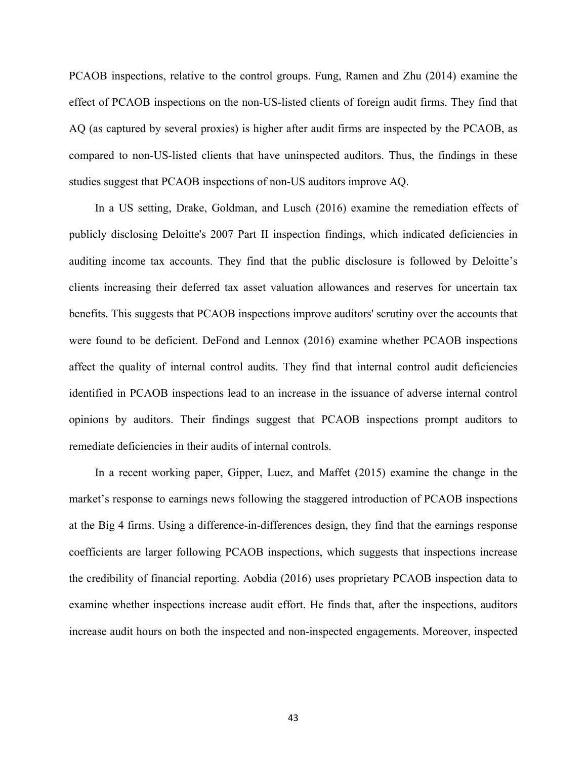PCAOB inspections, relative to the control groups. Fung, Ramen and Zhu (2014) examine the effect of PCAOB inspections on the non-US-listed clients of foreign audit firms. They find that AQ (as captured by several proxies) is higher after audit firms are inspected by the PCAOB, as compared to non-US-listed clients that have uninspected auditors. Thus, the findings in these studies suggest that PCAOB inspections of non-US auditors improve AQ.

In a US setting, Drake, Goldman, and Lusch (2016) examine the remediation effects of publicly disclosing Deloitte's 2007 Part II inspection findings, which indicated deficiencies in auditing income tax accounts. They find that the public disclosure is followed by Deloitte's clients increasing their deferred tax asset valuation allowances and reserves for uncertain tax benefits. This suggests that PCAOB inspections improve auditors' scrutiny over the accounts that were found to be deficient. DeFond and Lennox (2016) examine whether PCAOB inspections affect the quality of internal control audits. They find that internal control audit deficiencies identified in PCAOB inspections lead to an increase in the issuance of adverse internal control opinions by auditors. Their findings suggest that PCAOB inspections prompt auditors to remediate deficiencies in their audits of internal controls.

In a recent working paper, Gipper, Luez, and Maffet (2015) examine the change in the market's response to earnings news following the staggered introduction of PCAOB inspections at the Big 4 firms. Using a difference-in-differences design, they find that the earnings response coefficients are larger following PCAOB inspections, which suggests that inspections increase the credibility of financial reporting. Aobdia (2016) uses proprietary PCAOB inspection data to examine whether inspections increase audit effort. He finds that, after the inspections, auditors increase audit hours on both the inspected and non-inspected engagements. Moreover, inspected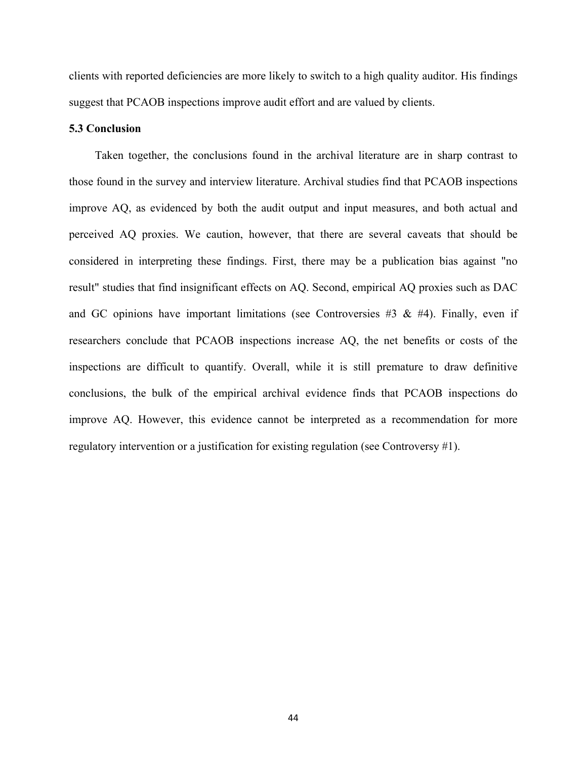clients with reported deficiencies are more likely to switch to a high quality auditor. His findings suggest that PCAOB inspections improve audit effort and are valued by clients.

## **5.3 Conclusion**

Taken together, the conclusions found in the archival literature are in sharp contrast to those found in the survey and interview literature. Archival studies find that PCAOB inspections improve AQ, as evidenced by both the audit output and input measures, and both actual and perceived AQ proxies. We caution, however, that there are several caveats that should be considered in interpreting these findings. First, there may be a publication bias against "no result" studies that find insignificant effects on AQ. Second, empirical AQ proxies such as DAC and GC opinions have important limitations (see Controversies #3  $\&$  #4). Finally, even if researchers conclude that PCAOB inspections increase AQ, the net benefits or costs of the inspections are difficult to quantify. Overall, while it is still premature to draw definitive conclusions, the bulk of the empirical archival evidence finds that PCAOB inspections do improve AQ. However, this evidence cannot be interpreted as a recommendation for more regulatory intervention or a justification for existing regulation (see Controversy #1).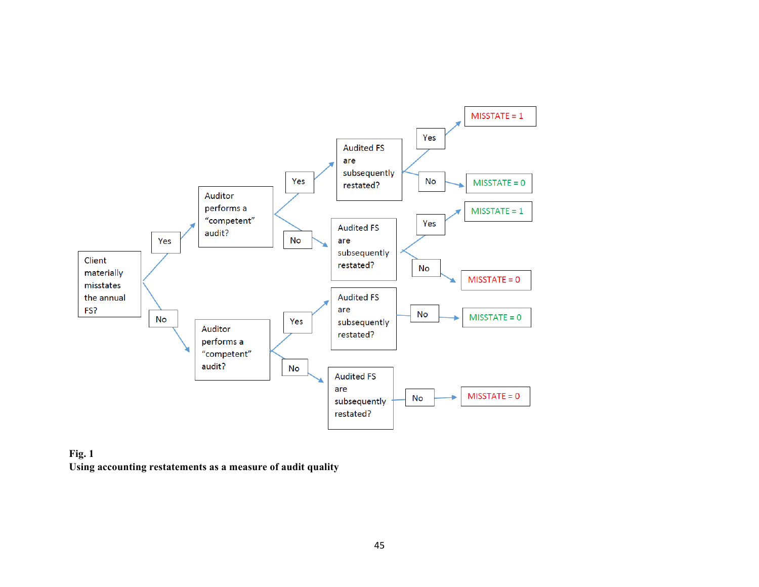

**Fig. 1 Using accounting restatements as a measure of audit quality**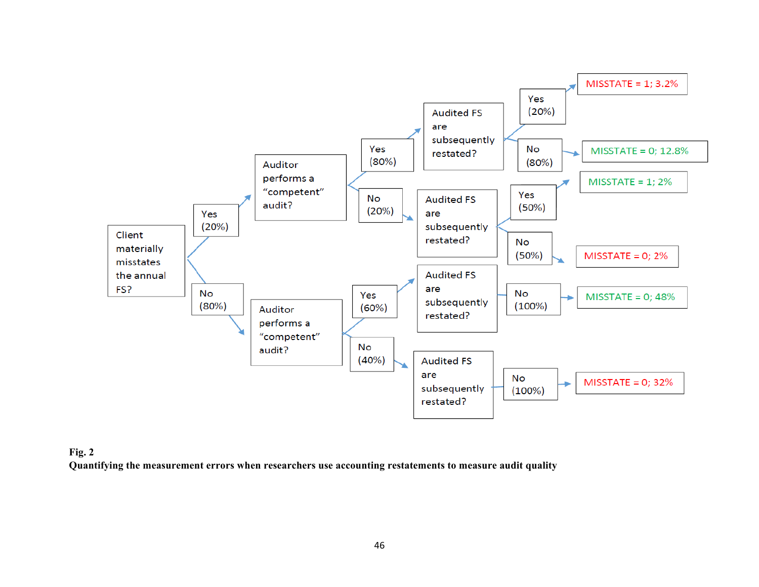

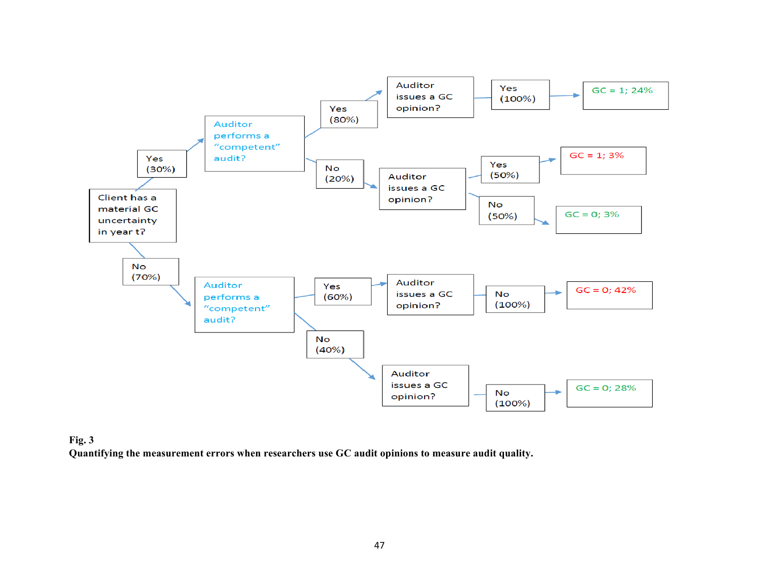

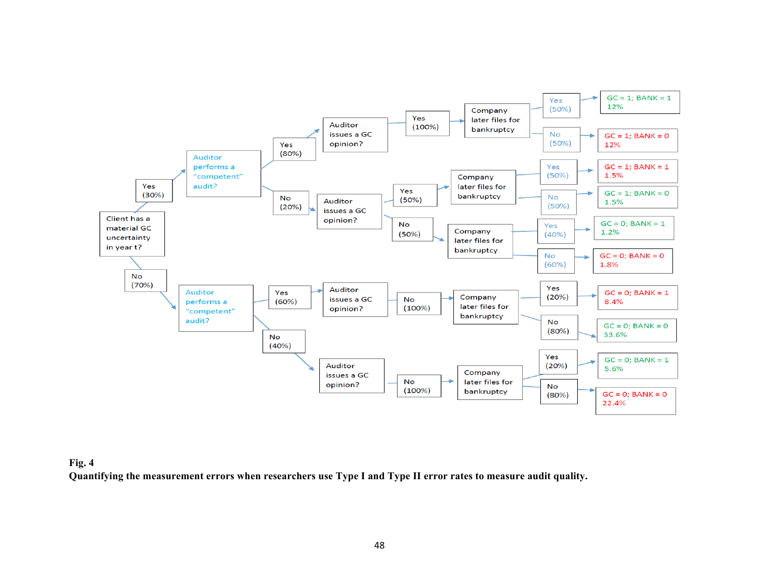

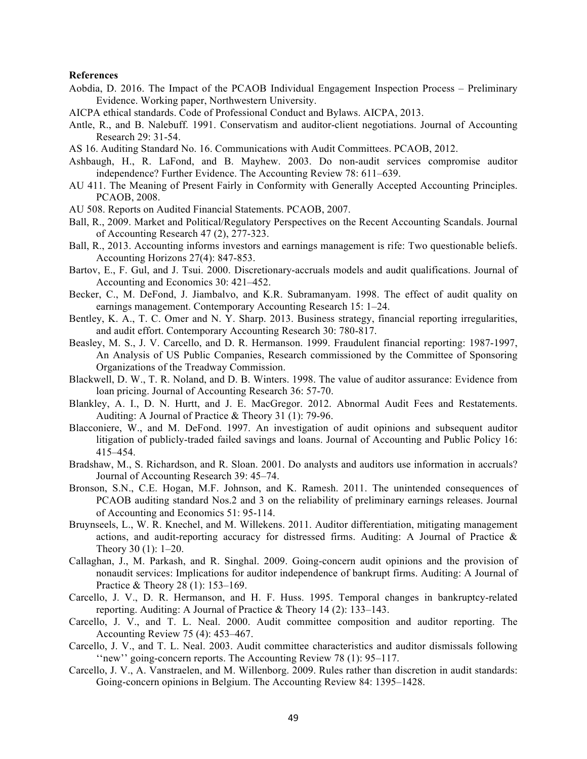#### **References**

- Aobdia, D. 2016. The Impact of the PCAOB Individual Engagement Inspection Process Preliminary Evidence. Working paper, Northwestern University.
- AICPA ethical standards. Code of Professional Conduct and Bylaws. AICPA, 2013.
- Antle, R., and B. Nalebuff. 1991. Conservatism and auditor-client negotiations. Journal of Accounting Research 29: 31-54.
- AS 16. Auditing Standard No. 16. Communications with Audit Committees. PCAOB, 2012.
- Ashbaugh, H., R. LaFond, and B. Mayhew. 2003. Do non-audit services compromise auditor independence? Further Evidence. The Accounting Review 78: 611–639.
- AU 411. The Meaning of Present Fairly in Conformity with Generally Accepted Accounting Principles. PCAOB, 2008.
- AU 508. Reports on Audited Financial Statements. PCAOB, 2007.
- Ball, R., 2009. Market and Political/Regulatory Perspectives on the Recent Accounting Scandals. Journal of Accounting Research 47 (2), 277-323.
- Ball, R., 2013. Accounting informs investors and earnings management is rife: Two questionable beliefs. Accounting Horizons 27(4): 847-853.
- Bartov, E., F. Gul, and J. Tsui. 2000. Discretionary-accruals models and audit qualifications. Journal of Accounting and Economics 30: 421–452.
- Becker, C., M. DeFond, J. Jiambalvo, and K.R. Subramanyam. 1998. The effect of audit quality on earnings management. Contemporary Accounting Research 15: 1–24.
- Bentley, K. A., T. C. Omer and N. Y. Sharp. 2013. Business strategy, financial reporting irregularities, and audit effort. Contemporary Accounting Research 30: 780-817.
- Beasley, M. S., J. V. Carcello, and D. R. Hermanson. 1999. Fraudulent financial reporting: 1987-1997, An Analysis of US Public Companies, Research commissioned by the Committee of Sponsoring Organizations of the Treadway Commission.
- Blackwell, D. W., T. R. Noland, and D. B. Winters. 1998. The value of auditor assurance: Evidence from loan pricing. Journal of Accounting Research 36: 57-70.
- Blankley, A. I., D. N. Hurtt, and J. E. MacGregor. 2012. Abnormal Audit Fees and Restatements. Auditing: A Journal of Practice & Theory 31 (1): 79-96.
- Blacconiere, W., and M. DeFond. 1997. An investigation of audit opinions and subsequent auditor litigation of publicly-traded failed savings and loans. Journal of Accounting and Public Policy 16: 415–454.
- Bradshaw, M., S. Richardson, and R. Sloan. 2001. Do analysts and auditors use information in accruals? Journal of Accounting Research 39: 45–74.
- Bronson, S.N., C.E. Hogan, M.F. Johnson, and K. Ramesh. 2011. The unintended consequences of PCAOB auditing standard Nos.2 and 3 on the reliability of preliminary earnings releases. Journal of Accounting and Economics 51: 95-114.
- Bruynseels, L., W. R. Knechel, and M. Willekens. 2011. Auditor differentiation, mitigating management actions, and audit-reporting accuracy for distressed firms. Auditing: A Journal of Practice & Theory 30 (1): 1–20.
- Callaghan, J., M. Parkash, and R. Singhal. 2009. Going-concern audit opinions and the provision of nonaudit services: Implications for auditor independence of bankrupt firms. Auditing: A Journal of Practice & Theory 28 (1): 153–169.
- Carcello, J. V., D. R. Hermanson, and H. F. Huss. 1995. Temporal changes in bankruptcy-related reporting. Auditing: A Journal of Practice & Theory 14 (2): 133–143.
- Carcello, J. V., and T. L. Neal. 2000. Audit committee composition and auditor reporting. The Accounting Review 75 (4): 453–467.
- Carcello, J. V., and T. L. Neal. 2003. Audit committee characteristics and auditor dismissals following ''new'' going-concern reports. The Accounting Review 78 (1): 95–117.
- Carcello, J. V., A. Vanstraelen, and M. Willenborg. 2009. Rules rather than discretion in audit standards: Going-concern opinions in Belgium. The Accounting Review 84: 1395–1428.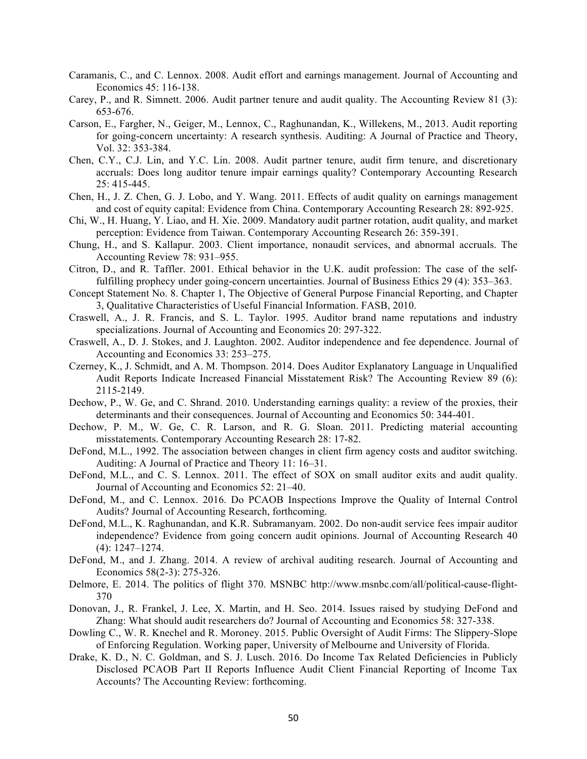- Caramanis, C., and C. Lennox. 2008. Audit effort and earnings management. Journal of Accounting and Economics 45: 116-138.
- Carey, P., and R. Simnett. 2006. Audit partner tenure and audit quality. The Accounting Review 81 (3): 653-676.
- Carson, E., Fargher, N., Geiger, M., Lennox, C., Raghunandan, K., Willekens, M., 2013. Audit reporting for going-concern uncertainty: A research synthesis. Auditing: A Journal of Practice and Theory, Vol. 32: 353-384.
- Chen, C.Y., C.J. Lin, and Y.C. Lin. 2008. Audit partner tenure, audit firm tenure, and discretionary accruals: Does long auditor tenure impair earnings quality? Contemporary Accounting Research 25: 415-445.
- Chen, H., J. Z. Chen, G. J. Lobo, and Y. Wang. 2011. Effects of audit quality on earnings management and cost of equity capital: Evidence from China. Contemporary Accounting Research 28: 892-925.
- Chi, W., H. Huang, Y. Liao, and H. Xie. 2009. Mandatory audit partner rotation, audit quality, and market perception: Evidence from Taiwan. Contemporary Accounting Research 26: 359-391.
- Chung, H., and S. Kallapur. 2003. Client importance, nonaudit services, and abnormal accruals. The Accounting Review 78: 931–955.
- Citron, D., and R. Taffler. 2001. Ethical behavior in the U.K. audit profession: The case of the selffulfilling prophecy under going-concern uncertainties. Journal of Business Ethics 29 (4): 353–363.
- Concept Statement No. 8. Chapter 1, The Objective of General Purpose Financial Reporting, and Chapter 3, Qualitative Characteristics of Useful Financial Information. FASB, 2010.
- Craswell, A., J. R. Francis, and S. L. Taylor. 1995. Auditor brand name reputations and industry specializations. Journal of Accounting and Economics 20: 297-322.
- Craswell, A., D. J. Stokes, and J. Laughton. 2002. Auditor independence and fee dependence. Journal of Accounting and Economics 33: 253–275.
- Czerney, K., J. Schmidt, and A. M. Thompson. 2014. Does Auditor Explanatory Language in Unqualified Audit Reports Indicate Increased Financial Misstatement Risk? The Accounting Review 89 (6): 2115-2149.
- Dechow, P., W. Ge, and C. Shrand. 2010. Understanding earnings quality: a review of the proxies, their determinants and their consequences. Journal of Accounting and Economics 50: 344-401.
- Dechow, P. M., W. Ge, C. R. Larson, and R. G. Sloan. 2011. Predicting material accounting misstatements. Contemporary Accounting Research 28: 17-82.
- DeFond, M.L., 1992. The association between changes in client firm agency costs and auditor switching. Auditing: A Journal of Practice and Theory 11: 16–31.
- DeFond, M.L., and C. S. Lennox. 2011. The effect of SOX on small auditor exits and audit quality. Journal of Accounting and Economics 52: 21–40.
- DeFond, M., and C. Lennox. 2016. Do PCAOB Inspections Improve the Quality of Internal Control Audits? Journal of Accounting Research, forthcoming.
- DeFond, M.L., K. Raghunandan, and K.R. Subramanyam. 2002. Do non-audit service fees impair auditor independence? Evidence from going concern audit opinions. Journal of Accounting Research 40 (4): 1247–1274.
- DeFond, M., and J. Zhang. 2014. A review of archival auditing research. Journal of Accounting and Economics 58(2-3): 275-326.
- Delmore, E. 2014. The politics of flight 370. MSNBC http://www.msnbc.com/all/political-cause-flight-370
- Donovan, J., R. Frankel, J. Lee, X. Martin, and H. Seo. 2014. Issues raised by studying DeFond and Zhang: What should audit researchers do? Journal of Accounting and Economics 58: 327-338.
- Dowling C., W. R. Knechel and R. Moroney. 2015. Public Oversight of Audit Firms: The Slippery-Slope of Enforcing Regulation. Working paper, University of Melbourne and University of Florida.
- Drake, K. D., N. C. Goldman, and S. J. Lusch. 2016. Do Income Tax Related Deficiencies in Publicly Disclosed PCAOB Part II Reports Influence Audit Client Financial Reporting of Income Tax Accounts? The Accounting Review: forthcoming.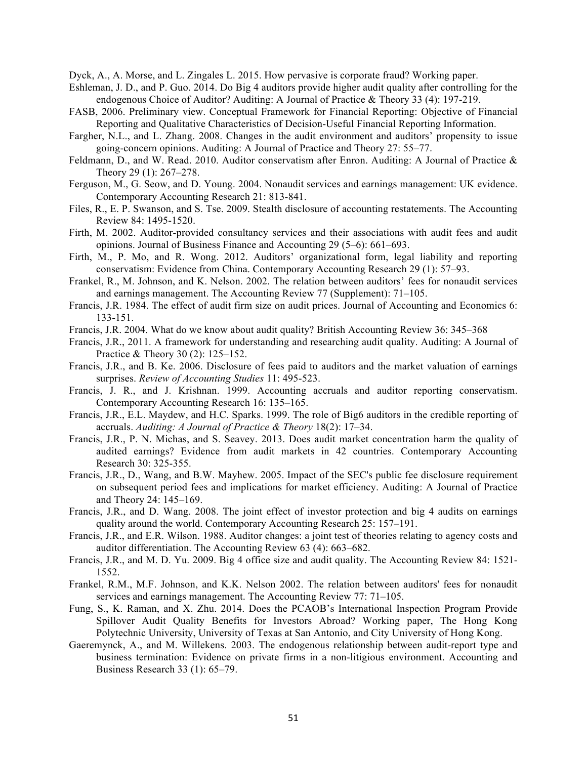Dyck, A., A. Morse, and L. Zingales L. 2015. How pervasive is corporate fraud? Working paper.

- Eshleman, J. D., and P. Guo. 2014. Do Big 4 auditors provide higher audit quality after controlling for the endogenous Choice of Auditor? Auditing: A Journal of Practice & Theory 33 (4): 197-219.
- FASB, 2006. Preliminary view. Conceptual Framework for Financial Reporting: Objective of Financial Reporting and Qualitative Characteristics of Decision-Useful Financial Reporting Information.
- Fargher, N.L., and L. Zhang. 2008. Changes in the audit environment and auditors' propensity to issue going-concern opinions. Auditing: A Journal of Practice and Theory 27: 55–77.
- Feldmann, D., and W. Read. 2010. Auditor conservatism after Enron. Auditing: A Journal of Practice  $\&$ Theory 29 (1): 267–278.
- Ferguson, M., G. Seow, and D. Young. 2004. Nonaudit services and earnings management: UK evidence. Contemporary Accounting Research 21: 813-841.
- Files, R., E. P. Swanson, and S. Tse. 2009. Stealth disclosure of accounting restatements. The Accounting Review 84: 1495-1520.
- Firth, M. 2002. Auditor-provided consultancy services and their associations with audit fees and audit opinions. Journal of Business Finance and Accounting 29 (5–6): 661–693.
- Firth, M., P. Mo, and R. Wong. 2012. Auditors' organizational form, legal liability and reporting conservatism: Evidence from China. Contemporary Accounting Research 29 (1): 57–93.
- Frankel, R., M. Johnson, and K. Nelson. 2002. The relation between auditors' fees for nonaudit services and earnings management. The Accounting Review 77 (Supplement): 71–105.
- Francis, J.R. 1984. The effect of audit firm size on audit prices. Journal of Accounting and Economics 6: 133-151.
- Francis, J.R. 2004. What do we know about audit quality? British Accounting Review 36: 345–368
- Francis, J.R., 2011. A framework for understanding and researching audit quality. Auditing: A Journal of Practice & Theory 30 (2): 125–152.
- Francis, J.R., and B. Ke. 2006. Disclosure of fees paid to auditors and the market valuation of earnings surprises. *Review of Accounting Studies* 11: 495-523.
- Francis, J. R., and J. Krishnan. 1999. Accounting accruals and auditor reporting conservatism. Contemporary Accounting Research 16: 135–165.
- Francis, J.R., E.L. Maydew, and H.C. Sparks. 1999. The role of Big6 auditors in the credible reporting of accruals. *Auditing: A Journal of Practice & Theory* 18(2): 17–34.
- Francis, J.R., P. N. Michas, and S. Seavey. 2013. Does audit market concentration harm the quality of audited earnings? Evidence from audit markets in 42 countries. Contemporary Accounting Research 30: 325-355.
- Francis, J.R., D., Wang, and B.W. Mayhew. 2005. Impact of the SEC's public fee disclosure requirement on subsequent period fees and implications for market efficiency. Auditing: A Journal of Practice and Theory 24: 145–169.
- Francis, J.R., and D. Wang. 2008. The joint effect of investor protection and big 4 audits on earnings quality around the world. Contemporary Accounting Research 25: 157–191.
- Francis, J.R., and E.R. Wilson. 1988. Auditor changes: a joint test of theories relating to agency costs and auditor differentiation. The Accounting Review 63 (4): 663–682.
- Francis, J.R., and M. D. Yu. 2009. Big 4 office size and audit quality. The Accounting Review 84: 1521- 1552.
- Frankel, R.M., M.F. Johnson, and K.K. Nelson 2002. The relation between auditors' fees for nonaudit services and earnings management. The Accounting Review 77: 71–105.
- Fung, S., K. Raman, and X. Zhu. 2014. Does the PCAOB's International Inspection Program Provide Spillover Audit Quality Benefits for Investors Abroad? Working paper, The Hong Kong Polytechnic University, University of Texas at San Antonio, and City University of Hong Kong.
- Gaeremynck, A., and M. Willekens. 2003. The endogenous relationship between audit-report type and business termination: Evidence on private firms in a non-litigious environment. Accounting and Business Research 33 (1): 65–79.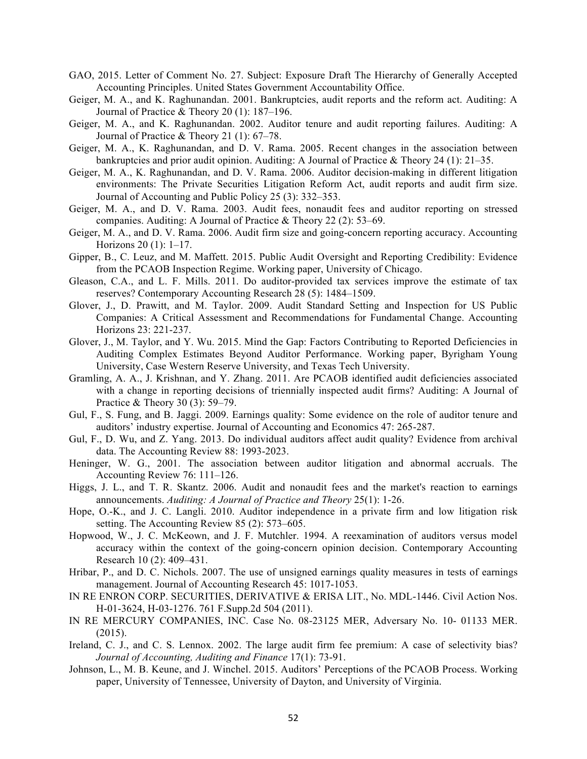- GAO, 2015. Letter of Comment No. 27. Subject: Exposure Draft The Hierarchy of Generally Accepted Accounting Principles. United States Government Accountability Office.
- Geiger, M. A., and K. Raghunandan. 2001. Bankruptcies, audit reports and the reform act. Auditing: A Journal of Practice & Theory 20 (1): 187–196.
- Geiger, M. A., and K. Raghunandan. 2002. Auditor tenure and audit reporting failures. Auditing: A Journal of Practice & Theory 21 (1): 67–78.
- Geiger, M. A., K. Raghunandan, and D. V. Rama. 2005. Recent changes in the association between bankruptcies and prior audit opinion. Auditing: A Journal of Practice & Theory 24 (1): 21–35.
- Geiger, M. A., K. Raghunandan, and D. V. Rama. 2006. Auditor decision-making in different litigation environments: The Private Securities Litigation Reform Act, audit reports and audit firm size. Journal of Accounting and Public Policy 25 (3): 332–353.
- Geiger, M. A., and D. V. Rama. 2003. Audit fees, nonaudit fees and auditor reporting on stressed companies. Auditing: A Journal of Practice & Theory 22 (2): 53–69.
- Geiger, M. A., and D. V. Rama. 2006. Audit firm size and going-concern reporting accuracy. Accounting Horizons 20 (1): 1–17.
- Gipper, B., C. Leuz, and M. Maffett. 2015. Public Audit Oversight and Reporting Credibility: Evidence from the PCAOB Inspection Regime. Working paper, University of Chicago.
- Gleason, C.A., and L. F. Mills. 2011. Do auditor-provided tax services improve the estimate of tax reserves? Contemporary Accounting Research 28 (5): 1484–1509.
- Glover, J., D. Prawitt, and M. Taylor. 2009. Audit Standard Setting and Inspection for US Public Companies: A Critical Assessment and Recommendations for Fundamental Change. Accounting Horizons 23: 221-237.
- Glover, J., M. Taylor, and Y. Wu. 2015. Mind the Gap: Factors Contributing to Reported Deficiencies in Auditing Complex Estimates Beyond Auditor Performance. Working paper, Byrigham Young University, Case Western Reserve University, and Texas Tech University.
- Gramling, A. A., J. Krishnan, and Y. Zhang. 2011. Are PCAOB identified audit deficiencies associated with a change in reporting decisions of triennially inspected audit firms? Auditing: A Journal of Practice & Theory 30 (3): 59–79.
- Gul, F., S. Fung, and B. Jaggi. 2009. Earnings quality: Some evidence on the role of auditor tenure and auditors' industry expertise. Journal of Accounting and Economics 47: 265-287.
- Gul, F., D. Wu, and Z. Yang. 2013. Do individual auditors affect audit quality? Evidence from archival data. The Accounting Review 88: 1993-2023.
- Heninger, W. G., 2001. The association between auditor litigation and abnormal accruals. The Accounting Review 76: 111–126.
- Higgs, J. L., and T. R. Skantz. 2006. Audit and nonaudit fees and the market's reaction to earnings announcements. *Auditing: A Journal of Practice and Theory* 25(1): 1-26.
- Hope, O.-K., and J. C. Langli. 2010. Auditor independence in a private firm and low litigation risk setting. The Accounting Review 85 (2): 573–605.
- Hopwood, W., J. C. McKeown, and J. F. Mutchler. 1994. A reexamination of auditors versus model accuracy within the context of the going-concern opinion decision. Contemporary Accounting Research 10 (2): 409–431.
- Hribar, P., and D. C. Nichols. 2007. The use of unsigned earnings quality measures in tests of earnings management. Journal of Accounting Research 45: 1017-1053.
- IN RE ENRON CORP. SECURITIES, DERIVATIVE & ERISA LIT., No. MDL-1446. Civil Action Nos. H-01-3624, H-03-1276. 761 F.Supp.2d 504 (2011).
- IN RE MERCURY COMPANIES, INC. Case No. 08-23125 MER, Adversary No. 10- 01133 MER. (2015).
- Ireland, C. J., and C. S. Lennox. 2002. The large audit firm fee premium: A case of selectivity bias? *Journal of Accounting, Auditing and Finance* 17(1): 73-91.
- Johnson, L., M. B. Keune, and J. Winchel. 2015. Auditors' Perceptions of the PCAOB Process. Working paper, University of Tennessee, University of Dayton, and University of Virginia.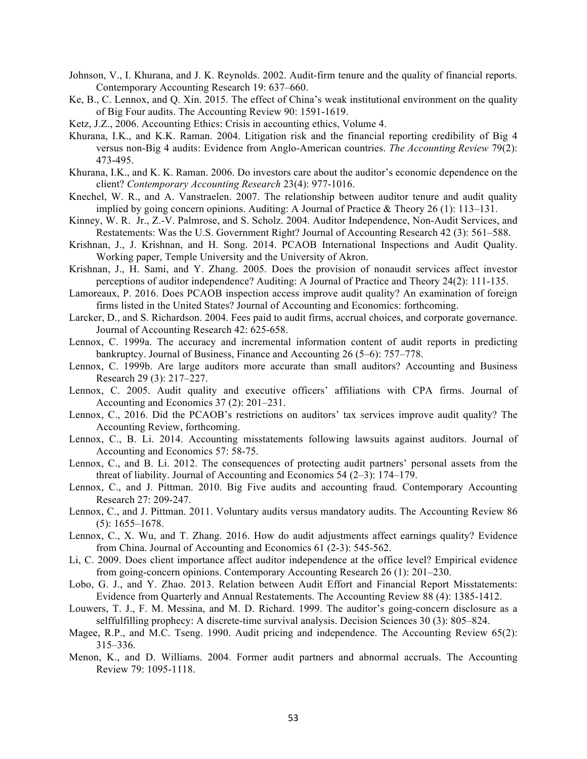- Johnson, V., I. Khurana, and J. K. Reynolds. 2002. Audit-firm tenure and the quality of financial reports. Contemporary Accounting Research 19: 637–660.
- Ke, B., C. Lennox, and Q. Xin. 2015. The effect of China's weak institutional environment on the quality of Big Four audits. The Accounting Review 90: 1591-1619.
- Ketz, J.Z., 2006. Accounting Ethics: Crisis in accounting ethics, Volume 4.
- Khurana, I.K., and K.K. Raman. 2004. Litigation risk and the financial reporting credibility of Big 4 versus non-Big 4 audits: Evidence from Anglo-American countries. *The Accounting Review* 79(2): 473-495.
- Khurana, I.K., and K. K. Raman. 2006. Do investors care about the auditor's economic dependence on the client? *Contemporary Accounting Research* 23(4): 977-1016.
- Knechel, W. R., and A. Vanstraelen. 2007. The relationship between auditor tenure and audit quality implied by going concern opinions. Auditing: A Journal of Practice & Theory 26 (1):  $113-131$ .
- Kinney, W. R. Jr., Z.-V. Palmrose, and S. Scholz. 2004. Auditor Independence, Non-Audit Services, and Restatements: Was the U.S. Government Right? Journal of Accounting Research 42 (3): 561–588.
- Krishnan, J., J. Krishnan, and H. Song. 2014. PCAOB International Inspections and Audit Quality. Working paper, Temple University and the University of Akron.
- Krishnan, J., H. Sami, and Y. Zhang. 2005. Does the provision of nonaudit services affect investor perceptions of auditor independence? Auditing: A Journal of Practice and Theory 24(2): 111-135.
- Lamoreaux, P. 2016. Does PCAOB inspection access improve audit quality? An examination of foreign firms listed in the United States? Journal of Accounting and Economics: forthcoming.
- Larcker, D., and S. Richardson. 2004. Fees paid to audit firms, accrual choices, and corporate governance. Journal of Accounting Research 42: 625-658.
- Lennox, C. 1999a. The accuracy and incremental information content of audit reports in predicting bankruptcy. Journal of Business, Finance and Accounting 26 (5–6): 757–778.
- Lennox, C. 1999b. Are large auditors more accurate than small auditors? Accounting and Business Research 29 (3): 217–227.
- Lennox, C. 2005. Audit quality and executive officers' affiliations with CPA firms. Journal of Accounting and Economics 37 (2): 201–231.
- Lennox, C., 2016. Did the PCAOB's restrictions on auditors' tax services improve audit quality? The Accounting Review, forthcoming.
- Lennox, C., B. Li. 2014. Accounting misstatements following lawsuits against auditors. Journal of Accounting and Economics 57: 58-75.
- Lennox, C., and B. Li. 2012. The consequences of protecting audit partners' personal assets from the threat of liability. Journal of Accounting and Economics 54 (2–3): 174–179.
- Lennox, C., and J. Pittman. 2010. Big Five audits and accounting fraud. Contemporary Accounting Research 27: 209-247.
- Lennox, C., and J. Pittman. 2011. Voluntary audits versus mandatory audits. The Accounting Review 86 (5): 1655–1678.
- Lennox, C., X. Wu, and T. Zhang. 2016. How do audit adjustments affect earnings quality? Evidence from China. Journal of Accounting and Economics 61 (2-3): 545-562.
- Li, C. 2009. Does client importance affect auditor independence at the office level? Empirical evidence from going-concern opinions. Contemporary Accounting Research 26 (1): 201–230.
- Lobo, G. J., and Y. Zhao. 2013. Relation between Audit Effort and Financial Report Misstatements: Evidence from Quarterly and Annual Restatements. The Accounting Review 88 (4): 1385-1412.
- Louwers, T. J., F. M. Messina, and M. D. Richard. 1999. The auditor's going-concern disclosure as a selffulfilling prophecy: A discrete-time survival analysis. Decision Sciences 30 (3): 805–824.
- Magee, R.P., and M.C. Tseng. 1990. Audit pricing and independence. The Accounting Review 65(2): 315–336.
- Menon, K., and D. Williams. 2004. Former audit partners and abnormal accruals. The Accounting Review 79: 1095-1118.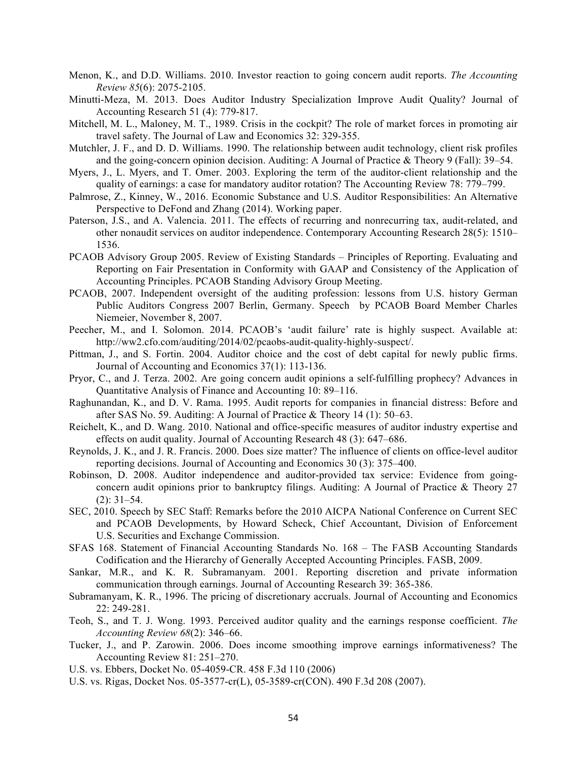- Menon, K., and D.D. Williams. 2010. Investor reaction to going concern audit reports. *The Accounting Review 85*(6): 2075-2105.
- Minutti-Meza, M. 2013. Does Auditor Industry Specialization Improve Audit Quality? Journal of Accounting Research 51 (4): 779-817.
- Mitchell, M. L., Maloney, M. T., 1989. Crisis in the cockpit? The role of market forces in promoting air travel safety. The Journal of Law and Economics 32: 329-355.
- Mutchler, J. F., and D. D. Williams. 1990. The relationship between audit technology, client risk profiles and the going-concern opinion decision. Auditing: A Journal of Practice & Theory 9 (Fall): 39–54.
- Myers, J., L. Myers, and T. Omer. 2003. Exploring the term of the auditor-client relationship and the quality of earnings: a case for mandatory auditor rotation? The Accounting Review 78: 779–799.
- Palmrose, Z., Kinney, W., 2016. Economic Substance and U.S. Auditor Responsibilities: An Alternative Perspective to DeFond and Zhang (2014). Working paper.
- Paterson, J.S., and A. Valencia. 2011. The effects of recurring and nonrecurring tax, audit-related, and other nonaudit services on auditor independence. Contemporary Accounting Research 28(5): 1510– 1536.
- PCAOB Advisory Group 2005. Review of Existing Standards Principles of Reporting. Evaluating and Reporting on Fair Presentation in Conformity with GAAP and Consistency of the Application of Accounting Principles. PCAOB Standing Advisory Group Meeting.
- PCAOB, 2007. Independent oversight of the auditing profession: lessons from U.S. history German Public Auditors Congress 2007 Berlin, Germany. Speech by PCAOB Board Member Charles Niemeier, November 8, 2007.
- Peecher, M., and I. Solomon. 2014. PCAOB's 'audit failure' rate is highly suspect. Available at: http://ww2.cfo.com/auditing/2014/02/pcaobs-audit-quality-highly-suspect/.
- Pittman, J., and S. Fortin. 2004. Auditor choice and the cost of debt capital for newly public firms. Journal of Accounting and Economics 37(1): 113-136.
- Pryor, C., and J. Terza. 2002. Are going concern audit opinions a self-fulfilling prophecy? Advances in Quantitative Analysis of Finance and Accounting 10: 89–116.
- Raghunandan, K., and D. V. Rama. 1995. Audit reports for companies in financial distress: Before and after SAS No. 59. Auditing: A Journal of Practice & Theory 14 (1): 50–63.
- Reichelt, K., and D. Wang. 2010. National and office-specific measures of auditor industry expertise and effects on audit quality. Journal of Accounting Research 48 (3): 647–686.
- Reynolds, J. K., and J. R. Francis. 2000. Does size matter? The influence of clients on office-level auditor reporting decisions. Journal of Accounting and Economics 30 (3): 375–400.
- Robinson, D. 2008. Auditor independence and auditor-provided tax service: Evidence from goingconcern audit opinions prior to bankruptcy filings. Auditing: A Journal of Practice & Theory 27 (2): 31–54.
- SEC, 2010. Speech by SEC Staff: Remarks before the 2010 AICPA National Conference on Current SEC and PCAOB Developments, by Howard Scheck, Chief Accountant, Division of Enforcement U.S. Securities and Exchange Commission.
- SFAS 168. Statement of Financial Accounting Standards No. 168 The FASB Accounting Standards Codification and the Hierarchy of Generally Accepted Accounting Principles. FASB, 2009.
- Sankar, M.R., and K. R. Subramanyam. 2001. Reporting discretion and private information communication through earnings. Journal of Accounting Research 39: 365-386.
- Subramanyam, K. R., 1996. The pricing of discretionary accruals. Journal of Accounting and Economics 22: 249-281.
- Teoh, S., and T. J. Wong. 1993. Perceived auditor quality and the earnings response coefficient. *The Accounting Review 68*(2): 346–66.
- Tucker, J., and P. Zarowin. 2006. Does income smoothing improve earnings informativeness? The Accounting Review 81: 251–270.
- U.S. vs. Ebbers, Docket No. 05-4059-CR. 458 F.3d 110 (2006)
- U.S. vs. Rigas, Docket Nos. 05-3577-cr(L), 05-3589-cr(CON). 490 F.3d 208 (2007).